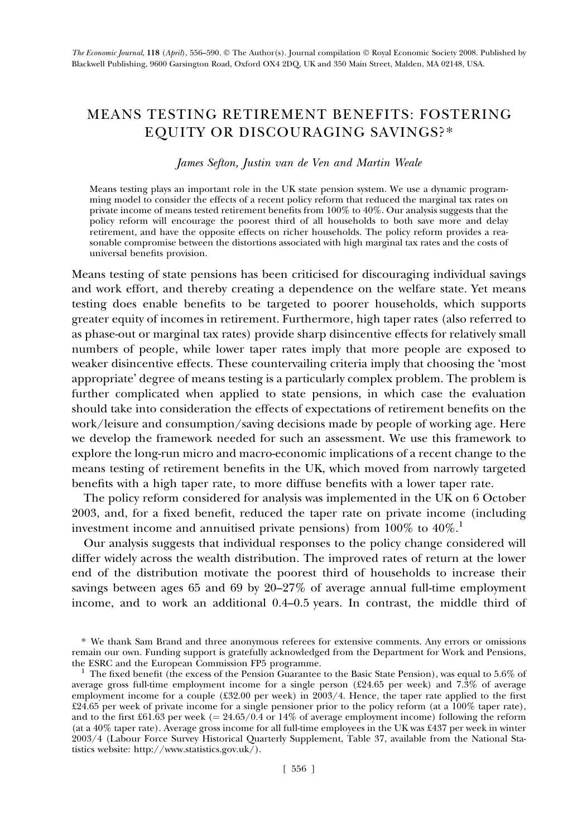# MEANS TESTING RETIREMENT BENEFITS: FOSTERING EQUITY OR DISCOURAGING SAVINGS?\*

James Sefton, Justin van de Ven and Martin Weale

Means testing plays an important role in the UK state pension system. We use a dynamic programming model to consider the effects of a recent policy reform that reduced the marginal tax rates on private income of means tested retirement benefits from 100% to 40%. Our analysis suggests that the policy reform will encourage the poorest third of all households to both save more and delay retirement, and have the opposite effects on richer households. The policy reform provides a reasonable compromise between the distortions associated with high marginal tax rates and the costs of universal benefits provision.

Means testing of state pensions has been criticised for discouraging individual savings and work effort, and thereby creating a dependence on the welfare state. Yet means testing does enable benefits to be targeted to poorer households, which supports greater equity of incomes in retirement. Furthermore, high taper rates (also referred to as phase-out or marginal tax rates) provide sharp disincentive effects for relatively small numbers of people, while lower taper rates imply that more people are exposed to weaker disincentive effects. These countervailing criteria imply that choosing the 'most appropriate' degree of means testing is a particularly complex problem. The problem is further complicated when applied to state pensions, in which case the evaluation should take into consideration the effects of expectations of retirement benefits on the work/leisure and consumption/saving decisions made by people of working age. Here we develop the framework needed for such an assessment. We use this framework to explore the long-run micro and macro-economic implications of a recent change to the means testing of retirement benefits in the UK, which moved from narrowly targeted benefits with a high taper rate, to more diffuse benefits with a lower taper rate.

The policy reform considered for analysis was implemented in the UK on 6 October 2003, and, for a fixed benefit, reduced the taper rate on private income (including investment income and annuitised private pensions) from  $100\%$  to  $40\%$ .

Our analysis suggests that individual responses to the policy change considered will differ widely across the wealth distribution. The improved rates of return at the lower end of the distribution motivate the poorest third of households to increase their savings between ages 65 and 69 by 20–27% of average annual full-time employment income, and to work an additional 0.4–0.5 years. In contrast, the middle third of

<sup>\*</sup> We thank Sam Brand and three anonymous referees for extensive comments. Any errors or omissions remain our own. Funding support is gratefully acknowledged from the Department for Work and Pensions, the ESRC and the European Commission FP5 programme.

<sup>&</sup>lt;sup>1</sup> The fixed benefit (the excess of the Pension Guarantee to the Basic State Pension), was equal to 5.6% of average gross full-time employment income for a single person (£24.65 per week) and 7.3% of average employment income for a couple (£32.00 per week) in 2003/4. Hence, the taper rate applied to the first £24.65 per week of private income for a single pensioner prior to the policy reform (at a 100% taper rate), and to the first £61.63 per week ( $= 24.65/0.4$  or 14% of average employment income) following the reform (at a 40% taper rate). Average gross income for all full-time employees in the UK was £437 per week in winter 2003/4 (Labour Force Survey Historical Quarterly Supplement, Table 37, available from the National Statistics website: http://www.statistics.gov.uk/).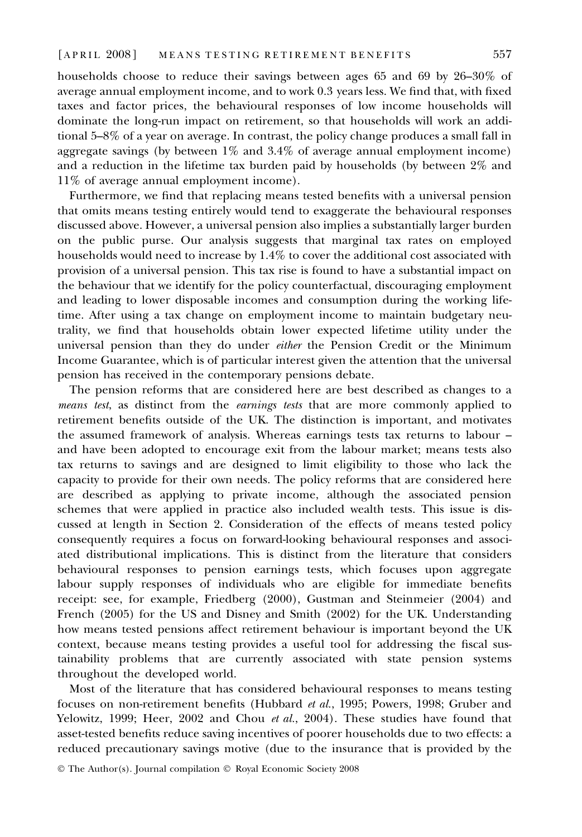households choose to reduce their savings between ages 65 and 69 by 26–30% of average annual employment income, and to work 0.3 years less. We find that, with fixed taxes and factor prices, the behavioural responses of low income households will dominate the long-run impact on retirement, so that households will work an additional 5–8% of a year on average. In contrast, the policy change produces a small fall in aggregate savings (by between 1% and 3.4% of average annual employment income) and a reduction in the lifetime tax burden paid by households (by between 2% and 11% of average annual employment income).

Furthermore, we find that replacing means tested benefits with a universal pension that omits means testing entirely would tend to exaggerate the behavioural responses discussed above. However, a universal pension also implies a substantially larger burden on the public purse. Our analysis suggests that marginal tax rates on employed households would need to increase by 1.4% to cover the additional cost associated with provision of a universal pension. This tax rise is found to have a substantial impact on the behaviour that we identify for the policy counterfactual, discouraging employment and leading to lower disposable incomes and consumption during the working lifetime. After using a tax change on employment income to maintain budgetary neutrality, we find that households obtain lower expected lifetime utility under the universal pension than they do under *either* the Pension Credit or the Minimum Income Guarantee, which is of particular interest given the attention that the universal pension has received in the contemporary pensions debate.

The pension reforms that are considered here are best described as changes to a means test, as distinct from the earnings tests that are more commonly applied to retirement benefits outside of the UK. The distinction is important, and motivates the assumed framework of analysis. Whereas earnings tests tax returns to labour – and have been adopted to encourage exit from the labour market; means tests also tax returns to savings and are designed to limit eligibility to those who lack the capacity to provide for their own needs. The policy reforms that are considered here are described as applying to private income, although the associated pension schemes that were applied in practice also included wealth tests. This issue is discussed at length in Section 2. Consideration of the effects of means tested policy consequently requires a focus on forward-looking behavioural responses and associated distributional implications. This is distinct from the literature that considers behavioural responses to pension earnings tests, which focuses upon aggregate labour supply responses of individuals who are eligible for immediate benefits receipt: see, for example, Friedberg (2000), Gustman and Steinmeier (2004) and French (2005) for the US and Disney and Smith (2002) for the UK. Understanding how means tested pensions affect retirement behaviour is important beyond the UK context, because means testing provides a useful tool for addressing the fiscal sustainability problems that are currently associated with state pension systems throughout the developed world.

Most of the literature that has considered behavioural responses to means testing focuses on non-retirement benefits (Hubbard et al., 1995; Powers, 1998; Gruber and Yelowitz, 1999; Heer, 2002 and Chou et al., 2004). These studies have found that asset-tested benefits reduce saving incentives of poorer households due to two effects: a reduced precautionary savings motive (due to the insurance that is provided by the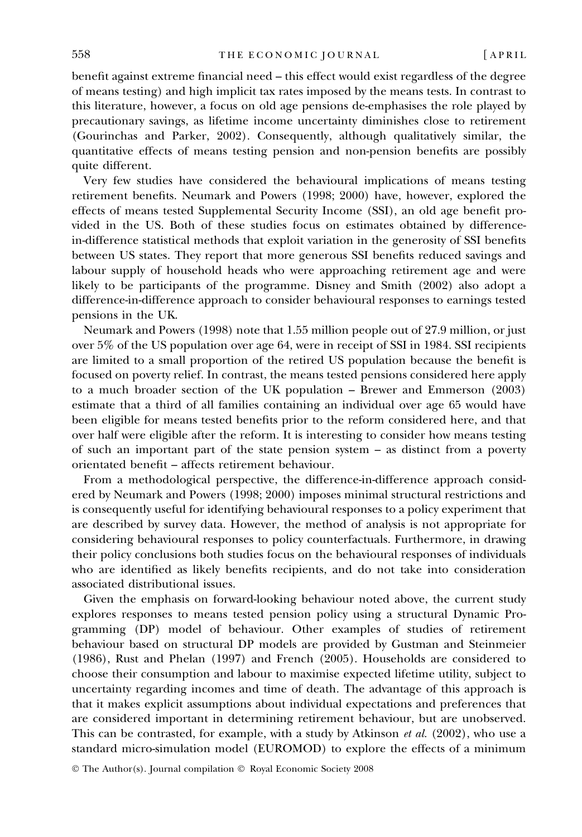benefit against extreme financial need – this effect would exist regardless of the degree of means testing) and high implicit tax rates imposed by the means tests. In contrast to this literature, however, a focus on old age pensions de-emphasises the role played by precautionary savings, as lifetime income uncertainty diminishes close to retirement (Gourinchas and Parker, 2002). Consequently, although qualitatively similar, the quantitative effects of means testing pension and non-pension benefits are possibly quite different.

Very few studies have considered the behavioural implications of means testing retirement benefits. Neumark and Powers (1998; 2000) have, however, explored the effects of means tested Supplemental Security Income (SSI), an old age benefit provided in the US. Both of these studies focus on estimates obtained by differencein-difference statistical methods that exploit variation in the generosity of SSI benefits between US states. They report that more generous SSI benefits reduced savings and labour supply of household heads who were approaching retirement age and were likely to be participants of the programme. Disney and Smith (2002) also adopt a difference-in-difference approach to consider behavioural responses to earnings tested pensions in the UK.

Neumark and Powers (1998) note that 1.55 million people out of 27.9 million, or just over 5% of the US population over age 64, were in receipt of SSI in 1984. SSI recipients are limited to a small proportion of the retired US population because the benefit is focused on poverty relief. In contrast, the means tested pensions considered here apply to a much broader section of the UK population – Brewer and Emmerson (2003) estimate that a third of all families containing an individual over age 65 would have been eligible for means tested benefits prior to the reform considered here, and that over half were eligible after the reform. It is interesting to consider how means testing of such an important part of the state pension system – as distinct from a poverty orientated benefit – affects retirement behaviour.

From a methodological perspective, the difference-in-difference approach considered by Neumark and Powers (1998; 2000) imposes minimal structural restrictions and is consequently useful for identifying behavioural responses to a policy experiment that are described by survey data. However, the method of analysis is not appropriate for considering behavioural responses to policy counterfactuals. Furthermore, in drawing their policy conclusions both studies focus on the behavioural responses of individuals who are identified as likely benefits recipients, and do not take into consideration associated distributional issues.

Given the emphasis on forward-looking behaviour noted above, the current study explores responses to means tested pension policy using a structural Dynamic Programming (DP) model of behaviour. Other examples of studies of retirement behaviour based on structural DP models are provided by Gustman and Steinmeier (1986), Rust and Phelan (1997) and French (2005). Households are considered to choose their consumption and labour to maximise expected lifetime utility, subject to uncertainty regarding incomes and time of death. The advantage of this approach is that it makes explicit assumptions about individual expectations and preferences that are considered important in determining retirement behaviour, but are unobserved. This can be contrasted, for example, with a study by Atkinson et al. (2002), who use a standard micro-simulation model (EUROMOD) to explore the effects of a minimum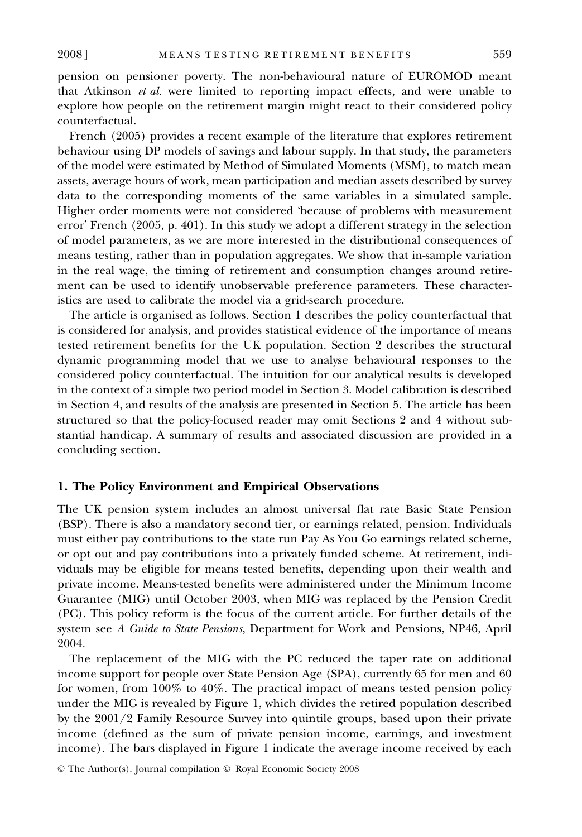pension on pensioner poverty. The non-behavioural nature of EUROMOD meant that Atkinson et al. were limited to reporting impact effects, and were unable to explore how people on the retirement margin might react to their considered policy counterfactual.

French (2005) provides a recent example of the literature that explores retirement behaviour using DP models of savings and labour supply. In that study, the parameters of the model were estimated by Method of Simulated Moments (MSM), to match mean assets, average hours of work, mean participation and median assets described by survey data to the corresponding moments of the same variables in a simulated sample. Higher order moments were not considered 'because of problems with measurement error' French (2005, p. 401). In this study we adopt a different strategy in the selection of model parameters, as we are more interested in the distributional consequences of means testing, rather than in population aggregates. We show that in-sample variation in the real wage, the timing of retirement and consumption changes around retirement can be used to identify unobservable preference parameters. These characteristics are used to calibrate the model via a grid-search procedure.

The article is organised as follows. Section 1 describes the policy counterfactual that is considered for analysis, and provides statistical evidence of the importance of means tested retirement benefits for the UK population. Section 2 describes the structural dynamic programming model that we use to analyse behavioural responses to the considered policy counterfactual. The intuition for our analytical results is developed in the context of a simple two period model in Section 3. Model calibration is described in Section 4, and results of the analysis are presented in Section 5. The article has been structured so that the policy-focused reader may omit Sections 2 and 4 without substantial handicap. A summary of results and associated discussion are provided in a concluding section.

## 1. The Policy Environment and Empirical Observations

The UK pension system includes an almost universal flat rate Basic State Pension (BSP). There is also a mandatory second tier, or earnings related, pension. Individuals must either pay contributions to the state run Pay As You Go earnings related scheme, or opt out and pay contributions into a privately funded scheme. At retirement, individuals may be eligible for means tested benefits, depending upon their wealth and private income. Means-tested benefits were administered under the Minimum Income Guarantee (MIG) until October 2003, when MIG was replaced by the Pension Credit (PC). This policy reform is the focus of the current article. For further details of the system see A Guide to State Pensions, Department for Work and Pensions, NP46, April 2004.

The replacement of the MIG with the PC reduced the taper rate on additional income support for people over State Pension Age (SPA), currently 65 for men and 60 for women, from 100% to 40%. The practical impact of means tested pension policy under the MIG is revealed by Figure 1, which divides the retired population described by the 2001/2 Family Resource Survey into quintile groups, based upon their private income (defined as the sum of private pension income, earnings, and investment income). The bars displayed in Figure 1 indicate the average income received by each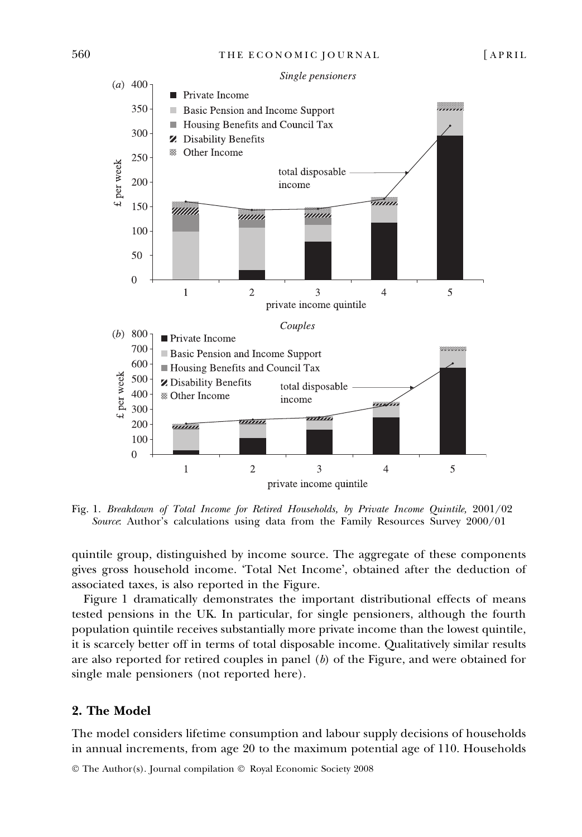

Fig. 1. Breakdown of Total Income for Retired Households, by Private Income Quintile, 2001/02 Source: Author's calculations using data from the Family Resources Survey 2000/01

quintile group, distinguished by income source. The aggregate of these components gives gross household income. 'Total Net Income', obtained after the deduction of associated taxes, is also reported in the Figure.

Figure 1 dramatically demonstrates the important distributional effects of means tested pensions in the UK. In particular, for single pensioners, although the fourth population quintile receives substantially more private income than the lowest quintile, it is scarcely better off in terms of total disposable income. Qualitatively similar results are also reported for retired couples in panel  $(b)$  of the Figure, and were obtained for single male pensioners (not reported here).

# 2. The Model

The model considers lifetime consumption and labour supply decisions of households in annual increments, from age 20 to the maximum potential age of 110. Households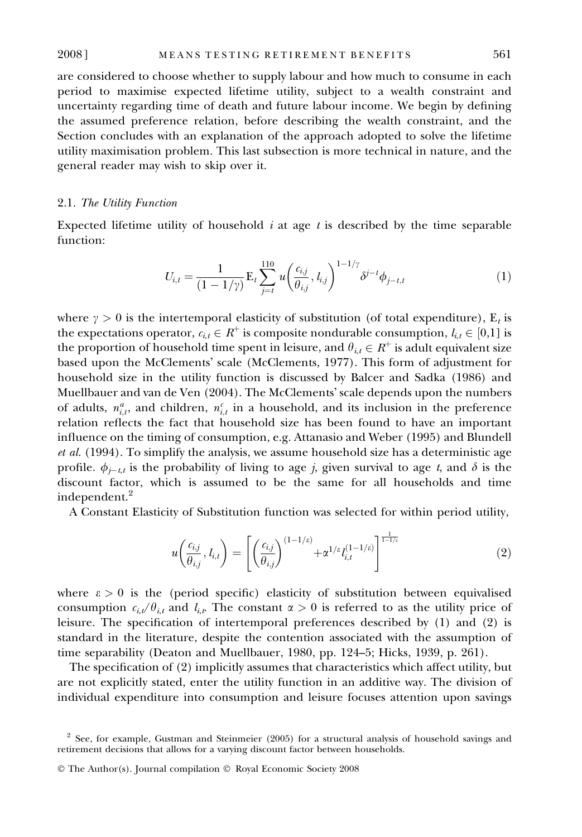are considered to choose whether to supply labour and how much to consume in each period to maximise expected lifetime utility, subject to a wealth constraint and uncertainty regarding time of death and future labour income. We begin by defining the assumed preference relation, before describing the wealth constraint, and the Section concludes with an explanation of the approach adopted to solve the lifetime utility maximisation problem. This last subsection is more technical in nature, and the general reader may wish to skip over it.

#### 2.1. The Utility Function

Expected lifetime utility of household  $i$  at age  $t$  is described by the time separable function:

$$
U_{i,t} = \frac{1}{(1 - 1/\gamma)} \mathbf{E}_t \sum_{j=t}^{110} u\left(\frac{c_{i,j}}{\theta_{i,j}}, l_{i,j}\right)^{1 - 1/\gamma} \delta^{j-t} \phi_{j-t,t}
$$
(1)

where  $\gamma > 0$  is the intertemporal elasticity of substitution (of total expenditure), E<sub>t</sub> is the expectations operator,  $c_{i,t} \in R^+$  is composite nondurable consumption,  $l_{i,t} \in [0,1]$  is the proportion of household time spent in leisure, and  $\theta_{it} \in R^+$  is adult equivalent size based upon the McClements' scale (McClements, 1977). This form of adjustment for household size in the utility function is discussed by Balcer and Sadka (1986) and Muellbauer and van de Ven (2004). The McClements' scale depends upon the numbers of adults,  $n_{i,t}^a$ , and children,  $n_{i,t}^c$  in a household, and its inclusion in the preference relation reflects the fact that household size has been found to have an important influence on the timing of consumption, e.g. Attanasio and Weber (1995) and Blundell et al. (1994). To simplify the analysis, we assume household size has a deterministic age profile.  $\phi_{j-t,t}$  is the probability of living to age j, given survival to age t, and  $\delta$  is the discount factor, which is assumed to be the same for all households and time independent.<sup>2</sup>

A Constant Elasticity of Substitution function was selected for within period utility,

$$
u\left(\frac{c_{i,j}}{\theta_{i,j}}, l_{i,t}\right) = \left[ \left(\frac{c_{i,j}}{\theta_{i,j}}\right)^{(1-1/\varepsilon)} + \alpha^{1/\varepsilon} l_{i,t}^{(1-1/\varepsilon)} \right]^{\frac{1}{1-1/\varepsilon}}
$$
(2)

where  $\varepsilon > 0$  is the (period specific) elasticity of substitution between equivalised consumption  $c_{i,t}/\theta_{i,t}$  and  $l_{i,t}$ . The constant  $\alpha > 0$  is referred to as the utility price of leisure. The specification of intertemporal preferences described by (1) and (2) is standard in the literature, despite the contention associated with the assumption of time separability (Deaton and Muellbauer, 1980, pp. 124–5; Hicks, 1939, p. 261).

The specification of (2) implicitly assumes that characteristics which affect utility, but are not explicitly stated, enter the utility function in an additive way. The division of individual expenditure into consumption and leisure focuses attention upon savings

<sup>&</sup>lt;sup>2</sup> See, for example, Gustman and Steinmeier (2005) for a structural analysis of household savings and retirement decisions that allows for a varying discount factor between households.

<sup>©</sup> The Author(s). Journal compilation © Royal Economic Society 2008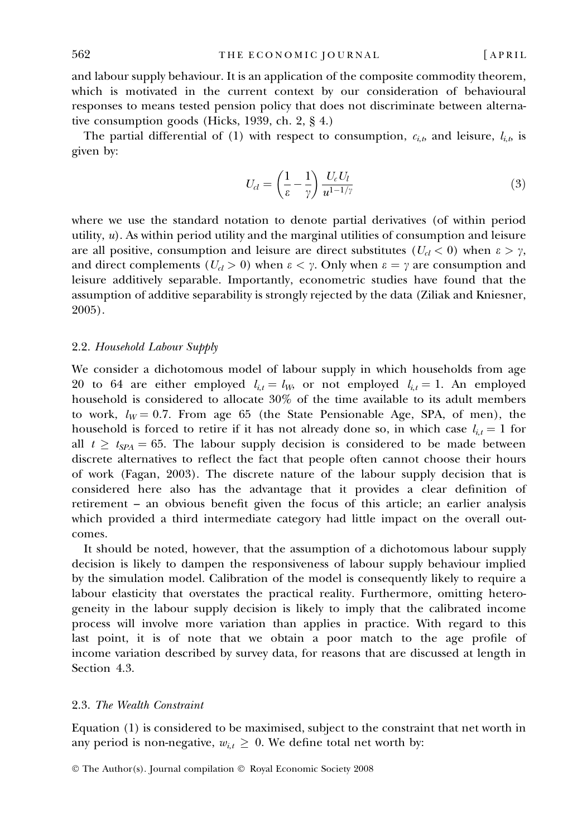and labour supply behaviour. It is an application of the composite commodity theorem, which is motivated in the current context by our consideration of behavioural responses to means tested pension policy that does not discriminate between alternative consumption goods (Hicks, 1939, ch. 2, § 4.)

The partial differential of (1) with respect to consumption,  $c_{i,b}$  and leisure,  $l_{i,b}$  is given by:

$$
U_{cl} = \left(\frac{1}{\varepsilon} - \frac{1}{\gamma}\right) \frac{U_c U_l}{u^{1 - 1/\gamma}}
$$
\n(3)

where we use the standard notation to denote partial derivatives (of within period utility,  $u$ ). As within period utility and the marginal utilities of consumption and leisure are all positive, consumption and leisure are direct substitutes ( $U_{\epsilon l}$  < 0) when  $\epsilon > \gamma$ , and direct complements ( $U_{cl} > 0$ ) when  $\varepsilon < \gamma$ . Only when  $\varepsilon = \gamma$  are consumption and leisure additively separable. Importantly, econometric studies have found that the assumption of additive separability is strongly rejected by the data (Ziliak and Kniesner, 2005).

#### 2.2. Household Labour Supply

We consider a dichotomous model of labour supply in which households from age 20 to 64 are either employed  $l_{i,t} = l_{W_i}$  or not employed  $l_{i,t} = 1$ . An employed household is considered to allocate 30% of the time available to its adult members to work,  $l_W = 0.7$ . From age 65 (the State Pensionable Age, SPA, of men), the household is forced to retire if it has not already done so, in which case  $l_{i,t} = 1$  for all  $t \geq t_{SPA} = 65$ . The labour supply decision is considered to be made between discrete alternatives to reflect the fact that people often cannot choose their hours of work (Fagan, 2003). The discrete nature of the labour supply decision that is considered here also has the advantage that it provides a clear definition of retirement – an obvious benefit given the focus of this article; an earlier analysis which provided a third intermediate category had little impact on the overall outcomes.

It should be noted, however, that the assumption of a dichotomous labour supply decision is likely to dampen the responsiveness of labour supply behaviour implied by the simulation model. Calibration of the model is consequently likely to require a labour elasticity that overstates the practical reality. Furthermore, omitting heterogeneity in the labour supply decision is likely to imply that the calibrated income process will involve more variation than applies in practice. With regard to this last point, it is of note that we obtain a poor match to the age profile of income variation described by survey data, for reasons that are discussed at length in Section 4.3.

#### 2.3. The Wealth Constraint

Equation (1) is considered to be maximised, subject to the constraint that net worth in any period is non-negative,  $w_{i,t} \geq 0$ . We define total net worth by: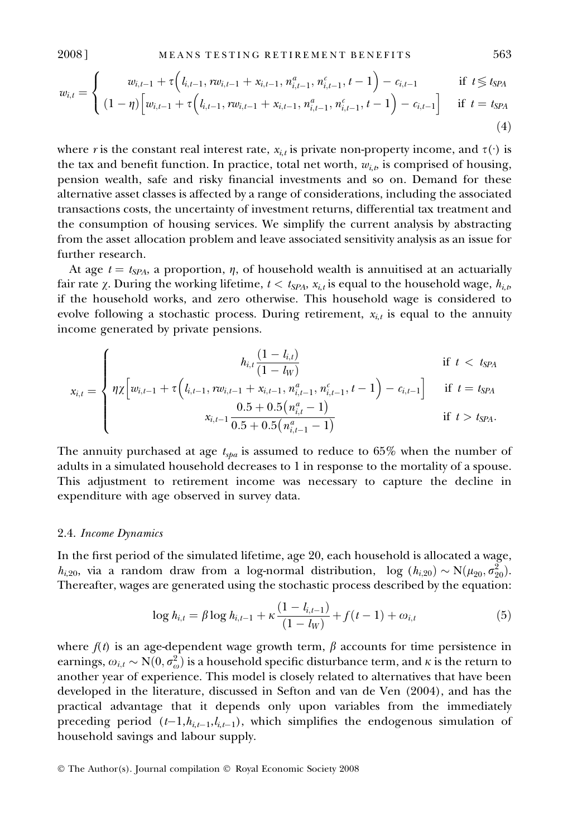2008 ] MEANS TESTING RETIREMENT BENEFITS 563

$$
w_{i,t} = \begin{cases} w_{i,t-1} + \tau \Big( l_{i,t-1}, rw_{i,t-1} + x_{i,t-1}, n_{i,t-1}^a, n_{i,t-1}^c, t-1 \Big) - c_{i,t-1} & \text{if } t \leq t_{SPA} \\ (1-\eta) \Big[ w_{i,t-1} + \tau \Big( l_{i,t-1}, rw_{i,t-1} + x_{i,t-1}, n_{i,t-1}^a, n_{i,t-1}^c, t-1 \Big) - c_{i,t-1} \Big] & \text{if } t = t_{SPA} \\ (4) \end{cases}
$$

where r is the constant real interest rate,  $x_{i,t}$  is private non-property income, and  $\tau(\cdot)$  is the tax and benefit function. In practice, total net worth,  $w_{i,b}$  is comprised of housing, pension wealth, safe and risky financial investments and so on. Demand for these alternative asset classes is affected by a range of considerations, including the associated transactions costs, the uncertainty of investment returns, differential tax treatment and the consumption of housing services. We simplify the current analysis by abstracting from the asset allocation problem and leave associated sensitivity analysis as an issue for further research.

At age  $t = t_{SPA}$ , a proportion,  $\eta$ , of household wealth is annuitised at an actuarially fair rate  $\chi$ . During the working lifetime,  $t < t_{SPA}$ ,  $x_{i,t}$  is equal to the household wage,  $h_{i,b}$ if the household works, and zero otherwise. This household wage is considered to evolve following a stochastic process. During retirement,  $x_{i,t}$  is equal to the annuity income generated by private pensions.

$$
x_{i,t} = \begin{cases} h_{i,t} \frac{(1 - l_{i,t})}{(1 - l_W)} & \text{if } t < t_{SPA} \\ \eta \chi \Big[ w_{i,t-1} + \tau \Big( l_{i,t-1}, r w_{i,t-1} + x_{i,t-1}, n_{i,t-1}^a, n_{i,t-1}^c, t-1 \Big) - c_{i,t-1} \Big] & \text{if } t = t_{SPA} \\ x_{i,t-1} \frac{0.5 + 0.5 \big( n_{i,t}^a - 1 \big)}{0.5 + 0.5 \big( n_{i,t-1}^a - 1 \big)} & \text{if } t > t_{SPA} .\end{cases}
$$

The annuity purchased at age  $t_{spa}$  is assumed to reduce to 65% when the number of adults in a simulated household decreases to 1 in response to the mortality of a spouse. This adjustment to retirement income was necessary to capture the decline in expenditure with age observed in survey data.

#### 2.4. Income Dynamics

In the first period of the simulated lifetime, age 20, each household is allocated a wage,  $h_{i,20}$ , via a random draw from a log-normal distribution,  $\log (h_{i,20}) \sim N(\mu_{20}, \sigma_{20}^2)$ . Thereafter, wages are generated using the stochastic process described by the equation:

$$
\log h_{i,t} = \beta \log h_{i,t-1} + \kappa \frac{(1 - l_{i,t-1})}{(1 - l_W)} + f(t-1) + \omega_{i,t}
$$
\n(5)

where  $f(t)$  is an age-dependent wage growth term,  $\beta$  accounts for time persistence in earnings,  $\omega_{i,t} \sim N(0, \sigma_{\omega}^2)$  is a household specific disturbance term, and  $\kappa$  is the return to another year of experience. This model is closely related to alternatives that have been developed in the literature, discussed in Sefton and van de Ven (2004), and has the practical advantage that it depends only upon variables from the immediately preceding period  $(t-1,h_{i,t-1},l_{i,t-1})$ , which simplifies the endogenous simulation of household savings and labour supply.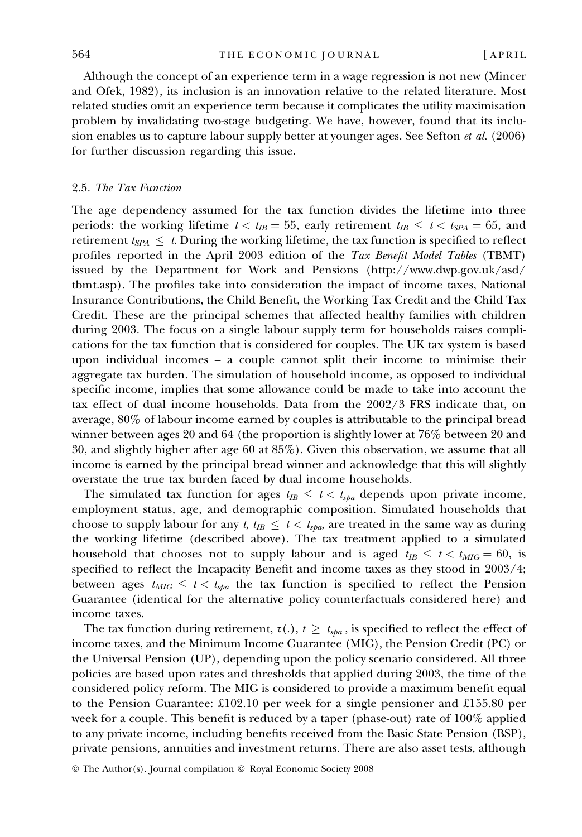Although the concept of an experience term in a wage regression is not new (Mincer and Ofek, 1982), its inclusion is an innovation relative to the related literature. Most related studies omit an experience term because it complicates the utility maximisation problem by invalidating two-stage budgeting. We have, however, found that its inclusion enables us to capture labour supply better at younger ages. See Sefton et al. (2006) for further discussion regarding this issue.

#### 2.5. The Tax Function

The age dependency assumed for the tax function divides the lifetime into three periods: the working lifetime  $t < t_{IB} = 55$ , early retirement  $t_{IB} \leq t < t_{SPA} = 65$ , and retirement  $t_{SPA} \leq t$ . During the working lifetime, the tax function is specified to reflect profiles reported in the April 2003 edition of the Tax Benefit Model Tables (TBMT) issued by the Department for Work and Pensions (http://www.dwp.gov.uk/asd/ tbmt.asp). The profiles take into consideration the impact of income taxes, National Insurance Contributions, the Child Benefit, the Working Tax Credit and the Child Tax Credit. These are the principal schemes that affected healthy families with children during 2003. The focus on a single labour supply term for households raises complications for the tax function that is considered for couples. The UK tax system is based upon individual incomes – a couple cannot split their income to minimise their aggregate tax burden. The simulation of household income, as opposed to individual specific income, implies that some allowance could be made to take into account the tax effect of dual income households. Data from the 2002/3 FRS indicate that, on average, 80% of labour income earned by couples is attributable to the principal bread winner between ages 20 and 64 (the proportion is slightly lower at 76% between 20 and 30, and slightly higher after age 60 at 85%). Given this observation, we assume that all income is earned by the principal bread winner and acknowledge that this will slightly overstate the true tax burden faced by dual income households.

The simulated tax function for ages  $t_{IB} \leq t < t_{spa}$  depends upon private income, employment status, age, and demographic composition. Simulated households that choose to supply labour for any  $t$ ,  $t_{IB} \leq t < t_{\text{max}}$  are treated in the same way as during the working lifetime (described above). The tax treatment applied to a simulated household that chooses not to supply labour and is aged  $t_{IB} \leq t < t_{MIG} = 60$ , is specified to reflect the Incapacity Benefit and income taxes as they stood in 2003/4; between ages  $t_{MIG} \leq t < t_{sba}$  the tax function is specified to reflect the Pension Guarantee (identical for the alternative policy counterfactuals considered here) and income taxes.

The tax function during retirement,  $\tau(.)$ ,  $t \geq t_{\text{spa}}$ , is specified to reflect the effect of income taxes, and the Minimum Income Guarantee (MIG), the Pension Credit (PC) or the Universal Pension (UP), depending upon the policy scenario considered. All three policies are based upon rates and thresholds that applied during 2003, the time of the considered policy reform. The MIG is considered to provide a maximum benefit equal to the Pension Guarantee: £102.10 per week for a single pensioner and £155.80 per week for a couple. This benefit is reduced by a taper (phase-out) rate of 100% applied to any private income, including benefits received from the Basic State Pension (BSP), private pensions, annuities and investment returns. There are also asset tests, although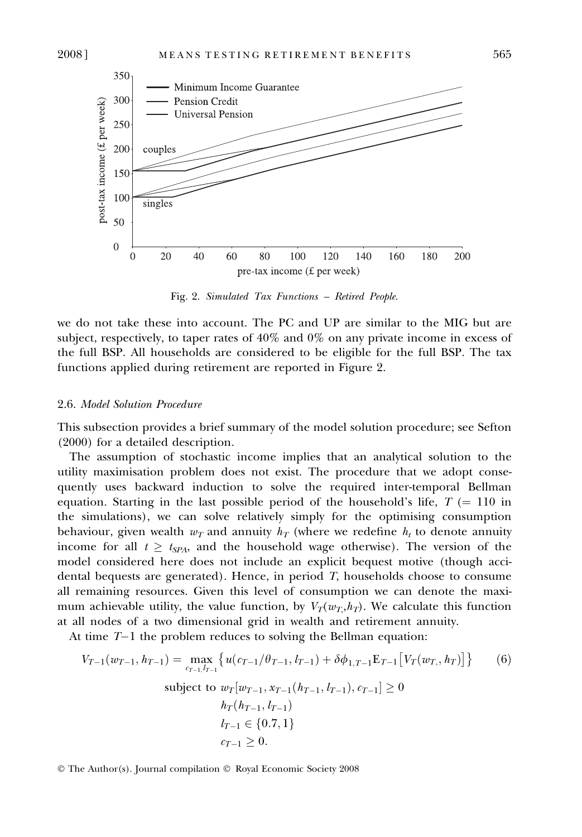

Fig. 2. Simulated Tax Functions – Retired People.

we do not take these into account. The PC and UP are similar to the MIG but are subject, respectively, to taper rates of 40% and 0% on any private income in excess of the full BSP. All households are considered to be eligible for the full BSP. The tax functions applied during retirement are reported in Figure 2.

#### 2.6. Model Solution Procedure

This subsection provides a brief summary of the model solution procedure; see Sefton (2000) for a detailed description.

The assumption of stochastic income implies that an analytical solution to the utility maximisation problem does not exist. The procedure that we adopt consequently uses backward induction to solve the required inter-temporal Bellman equation. Starting in the last possible period of the household's life,  $T = 110$  in the simulations), we can solve relatively simply for the optimising consumption behaviour, given wealth  $w_T$  and annuity  $h_T$  (where we redefine  $h_t$  to denote annuity income for all  $t \geq t_{SPA}$ , and the household wage otherwise). The version of the model considered here does not include an explicit bequest motive (though accidental bequests are generated). Hence, in period  $T$ , households choose to consume all remaining resources. Given this level of consumption we can denote the maximum achievable utility, the value function, by  $V_T(w_T, h_T)$ . We calculate this function at all nodes of a two dimensional grid in wealth and retirement annuity.

At time T-1 the problem reduces to solving the Bellman equation:

$$
V_{T-1}(w_{T-1}, h_{T-1}) = \max_{c_{T-1}, l_{T-1}} \{ u(c_{T-1}/\theta_{T-1}, l_{T-1}) + \delta \phi_{1, T-1} E_{T-1} [V_T(w_{T,}, h_T)] \} \qquad (6)
$$
  
subject to  $w_T[w_{T-1}, x_{T-1}(h_{T-1}, l_{T-1}), c_{T-1}] \ge 0$   
 $h_T(h_{T-1}, l_{T-1})$   
 $l_{T-1} \in \{0.7, 1\}$   
 $c_{T-1} \ge 0.$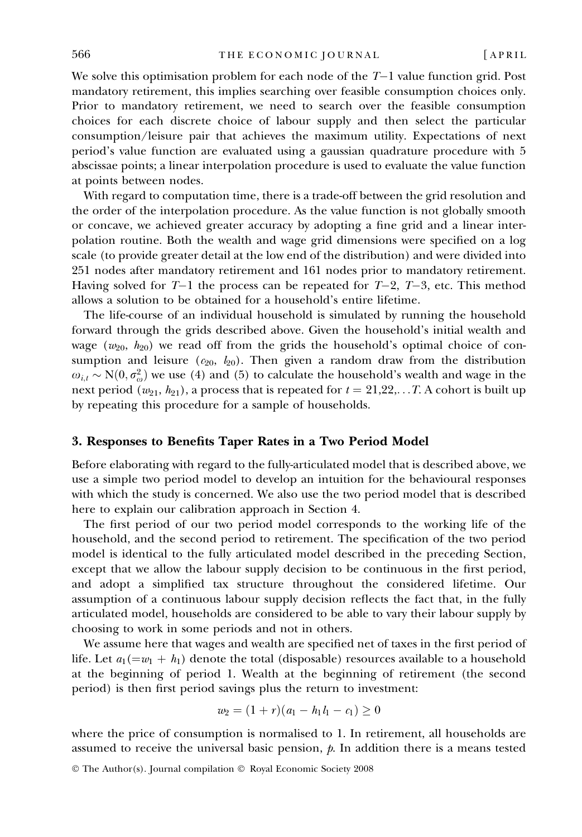We solve this optimisation problem for each node of the  $\mathit{T}\text{--}1$  value function grid. Post mandatory retirement, this implies searching over feasible consumption choices only. Prior to mandatory retirement, we need to search over the feasible consumption choices for each discrete choice of labour supply and then select the particular consumption/leisure pair that achieves the maximum utility. Expectations of next period's value function are evaluated using a gaussian quadrature procedure with 5 abscissae points; a linear interpolation procedure is used to evaluate the value function at points between nodes.

With regard to computation time, there is a trade-off between the grid resolution and the order of the interpolation procedure. As the value function is not globally smooth or concave, we achieved greater accuracy by adopting a fine grid and a linear interpolation routine. Both the wealth and wage grid dimensions were specified on a log scale (to provide greater detail at the low end of the distribution) and were divided into 251 nodes after mandatory retirement and 161 nodes prior to mandatory retirement. Having solved for  $T-1$  the process can be repeated for  $T-2$ ,  $T-3$ , etc. This method allows a solution to be obtained for a household's entire lifetime.

The life-course of an individual household is simulated by running the household forward through the grids described above. Given the household's initial wealth and wage ( $w_{20}$ ,  $h_{20}$ ) we read off from the grids the household's optimal choice of consumption and leisure  $(c_{20}, l_{20})$ . Then given a random draw from the distribution  $\omega_{i,t} \sim N(0, \sigma_{\omega}^2)$  we use (4) and (5) to calculate the household's wealth and wage in the next period ( $w_{21}$ ,  $h_{21}$ ), a process that is repeated for  $t = 21,22,...T$ . A cohort is built up by repeating this procedure for a sample of households.

#### 3. Responses to Benefits Taper Rates in a Two Period Model

Before elaborating with regard to the fully-articulated model that is described above, we use a simple two period model to develop an intuition for the behavioural responses with which the study is concerned. We also use the two period model that is described here to explain our calibration approach in Section 4.

The first period of our two period model corresponds to the working life of the household, and the second period to retirement. The specification of the two period model is identical to the fully articulated model described in the preceding Section, except that we allow the labour supply decision to be continuous in the first period, and adopt a simplified tax structure throughout the considered lifetime. Our assumption of a continuous labour supply decision reflects the fact that, in the fully articulated model, households are considered to be able to vary their labour supply by choosing to work in some periods and not in others.

We assume here that wages and wealth are specified net of taxes in the first period of life. Let  $a_1(=w_1 + h_1)$  denote the total (disposable) resources available to a household at the beginning of period 1. Wealth at the beginning of retirement (the second period) is then first period savings plus the return to investment:

$$
w_2 = (1+r)(a_1 - h_1 l_1 - c_1) \ge 0
$$

where the price of consumption is normalised to 1. In retirement, all households are assumed to receive the universal basic pension,  $\hat{p}$ . In addition there is a means tested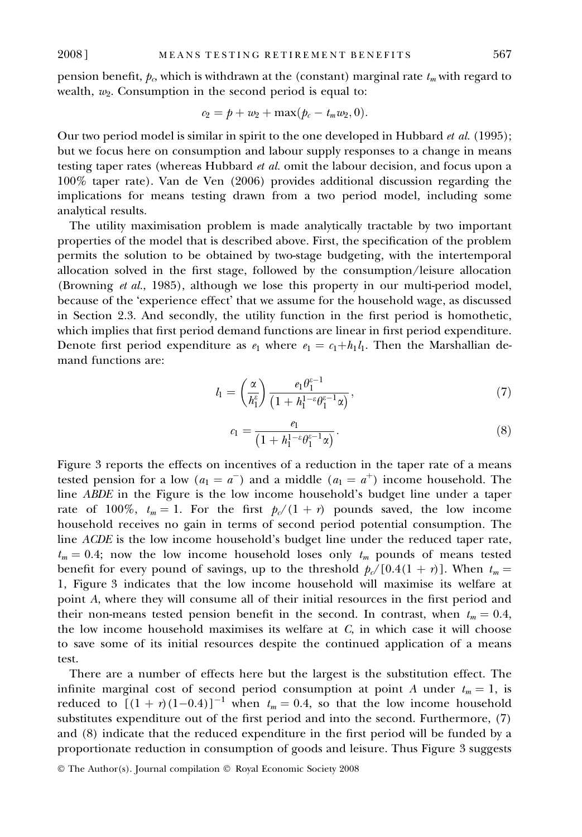pension benefit,  $p_c$ , which is withdrawn at the (constant) marginal rate  $t_m$  with regard to wealth,  $w_2$ . Consumption in the second period is equal to:

$$
c_2 = p + w_2 + \max(p_c - t_m w_2, 0).
$$

Our two period model is similar in spirit to the one developed in Hubbard et al. (1995); but we focus here on consumption and labour supply responses to a change in means testing taper rates (whereas Hubbard et al. omit the labour decision, and focus upon a 100% taper rate). Van de Ven (2006) provides additional discussion regarding the implications for means testing drawn from a two period model, including some analytical results.

The utility maximisation problem is made analytically tractable by two important properties of the model that is described above. First, the specification of the problem permits the solution to be obtained by two-stage budgeting, with the intertemporal allocation solved in the first stage, followed by the consumption/leisure allocation (Browning et al., 1985), although we lose this property in our multi-period model, because of the 'experience effect' that we assume for the household wage, as discussed in Section 2.3. And secondly, the utility function in the first period is homothetic, which implies that first period demand functions are linear in first period expenditure. Denote first period expenditure as  $e_1$  where  $e_1 = c_1 + h_1 l_1$ . Then the Marshallian demand functions are:

$$
l_1 = \left(\frac{\alpha}{h_1^{\varepsilon}}\right) \frac{e_1 \theta_1^{\varepsilon - 1}}{\left(1 + h_1^{1 - \varepsilon} \theta_1^{\varepsilon - 1} \alpha\right)},\tag{7}
$$

$$
c_1 = \frac{e_1}{\left(1 + h_1^{1-\varepsilon} \theta_1^{\varepsilon - 1} \alpha\right)}.
$$
\n(8)

Figure 3 reports the effects on incentives of a reduction in the taper rate of a means tested pension for a low  $(a_1 = a^{-})$  and a middle  $(a_1 = a^{+})$  income household. The line ABDE in the Figure is the low income household's budget line under a taper rate of 100%,  $t_m = 1$ . For the first  $p_c/(1 + r)$  pounds saved, the low income household receives no gain in terms of second period potential consumption. The line ACDE is the low income household's budget line under the reduced taper rate,  $t_m = 0.4$ ; now the low income household loses only  $t_m$  pounds of means tested benefit for every pound of savings, up to the threshold  $p_c/[0.4(1 + r)]$ . When  $t_m =$ 1, Figure 3 indicates that the low income household will maximise its welfare at point A, where they will consume all of their initial resources in the first period and their non-means tested pension benefit in the second. In contrast, when  $t_m = 0.4$ , the low income household maximises its welfare at C, in which case it will choose to save some of its initial resources despite the continued application of a means test.

There are a number of effects here but the largest is the substitution effect. The infinite marginal cost of second period consumption at point A under  $t_m = 1$ , is reduced to  $[(1 + r)(1 - 0.4)]^{-1}$  when  $t_m = 0.4$ , so that the low income household substitutes expenditure out of the first period and into the second. Furthermore, (7) and (8) indicate that the reduced expenditure in the first period will be funded by a proportionate reduction in consumption of goods and leisure. Thus Figure 3 suggests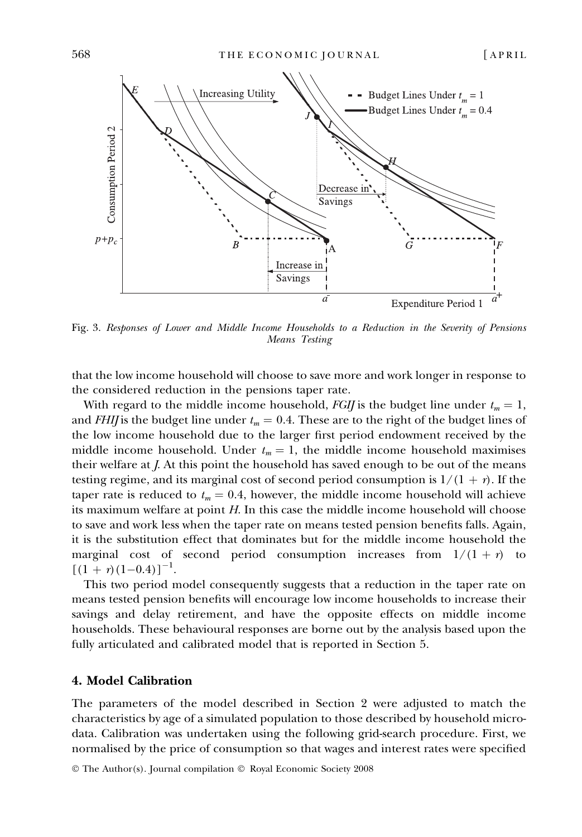

Fig. 3. Responses of Lower and Middle Income Households to a Reduction in the Severity of Pensions Means Testing

that the low income household will choose to save more and work longer in response to the considered reduction in the pensions taper rate.

With regard to the middle income household, *FGIJ* is the budget line under  $t_m = 1$ , and FHIJ is the budget line under  $t_m = 0.4$ . These are to the right of the budget lines of the low income household due to the larger first period endowment received by the middle income household. Under  $t_m = 1$ , the middle income household maximises their welfare at J. At this point the household has saved enough to be out of the means testing regime, and its marginal cost of second period consumption is  $1/(1 + r)$ . If the taper rate is reduced to  $t_m = 0.4$ , however, the middle income household will achieve its maximum welfare at point H. In this case the middle income household will choose to save and work less when the taper rate on means tested pension benefits falls. Again, it is the substitution effect that dominates but for the middle income household the marginal cost of second period consumption increases from  $1/(1 + r)$  to  $[(1 + r)(1 - 0.4)]^{-1}.$ 

This two period model consequently suggests that a reduction in the taper rate on means tested pension benefits will encourage low income households to increase their savings and delay retirement, and have the opposite effects on middle income households. These behavioural responses are borne out by the analysis based upon the fully articulated and calibrated model that is reported in Section 5.

## 4. Model Calibration

The parameters of the model described in Section 2 were adjusted to match the characteristics by age of a simulated population to those described by household microdata. Calibration was undertaken using the following grid-search procedure. First, we normalised by the price of consumption so that wages and interest rates were specified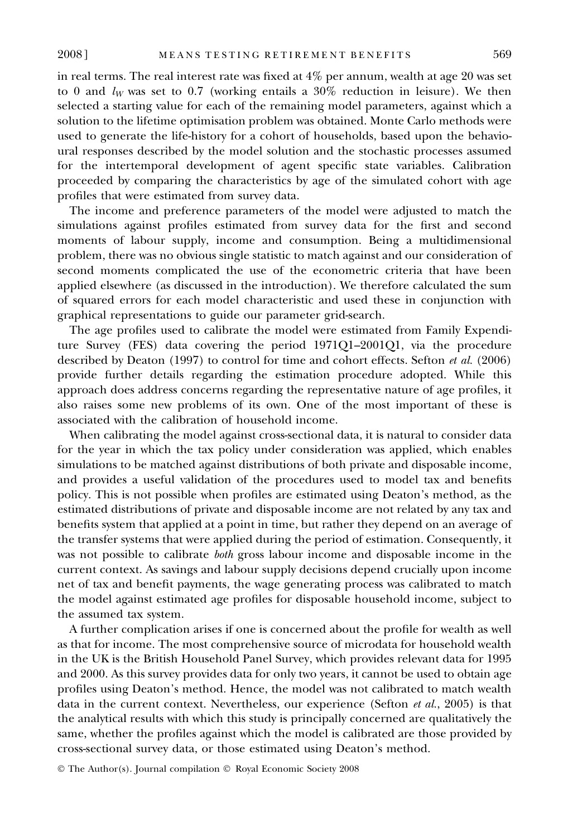in real terms. The real interest rate was fixed at 4% per annum, wealth at age 20 was set to 0 and  $l_W$  was set to 0.7 (working entails a 30% reduction in leisure). We then selected a starting value for each of the remaining model parameters, against which a solution to the lifetime optimisation problem was obtained. Monte Carlo methods were used to generate the life-history for a cohort of households, based upon the behavioural responses described by the model solution and the stochastic processes assumed for the intertemporal development of agent specific state variables. Calibration proceeded by comparing the characteristics by age of the simulated cohort with age profiles that were estimated from survey data.

The income and preference parameters of the model were adjusted to match the simulations against profiles estimated from survey data for the first and second moments of labour supply, income and consumption. Being a multidimensional problem, there was no obvious single statistic to match against and our consideration of second moments complicated the use of the econometric criteria that have been applied elsewhere (as discussed in the introduction). We therefore calculated the sum of squared errors for each model characteristic and used these in conjunction with graphical representations to guide our parameter grid-search.

The age profiles used to calibrate the model were estimated from Family Expenditure Survey (FES) data covering the period 1971Q1–2001Q1, via the procedure described by Deaton (1997) to control for time and cohort effects. Sefton et al. (2006) provide further details regarding the estimation procedure adopted. While this approach does address concerns regarding the representative nature of age profiles, it also raises some new problems of its own. One of the most important of these is associated with the calibration of household income.

When calibrating the model against cross-sectional data, it is natural to consider data for the year in which the tax policy under consideration was applied, which enables simulations to be matched against distributions of both private and disposable income, and provides a useful validation of the procedures used to model tax and benefits policy. This is not possible when profiles are estimated using Deaton's method, as the estimated distributions of private and disposable income are not related by any tax and benefits system that applied at a point in time, but rather they depend on an average of the transfer systems that were applied during the period of estimation. Consequently, it was not possible to calibrate both gross labour income and disposable income in the current context. As savings and labour supply decisions depend crucially upon income net of tax and benefit payments, the wage generating process was calibrated to match the model against estimated age profiles for disposable household income, subject to the assumed tax system.

A further complication arises if one is concerned about the profile for wealth as well as that for income. The most comprehensive source of microdata for household wealth in the UK is the British Household Panel Survey, which provides relevant data for 1995 and 2000. As this survey provides data for only two years, it cannot be used to obtain age profiles using Deaton's method. Hence, the model was not calibrated to match wealth data in the current context. Nevertheless, our experience (Sefton  $et al., 2005$ ) is that the analytical results with which this study is principally concerned are qualitatively the same, whether the profiles against which the model is calibrated are those provided by cross-sectional survey data, or those estimated using Deaton's method.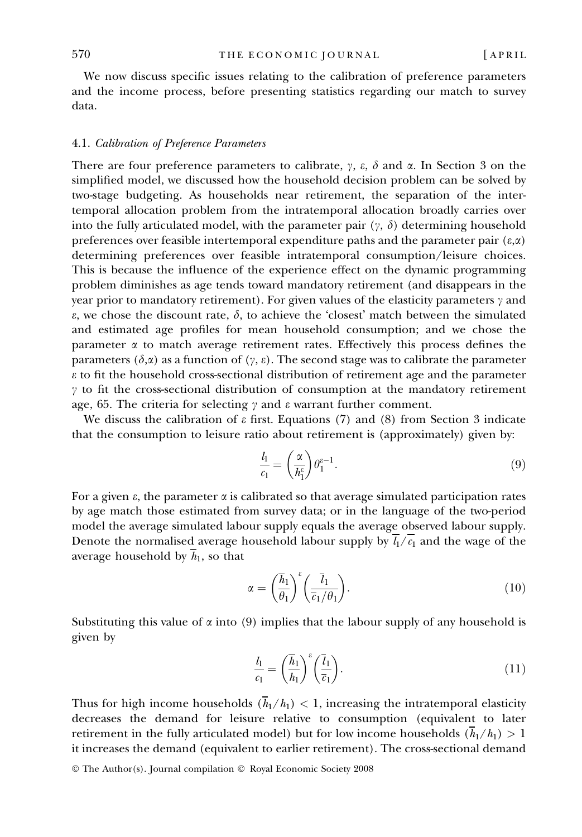We now discuss specific issues relating to the calibration of preference parameters and the income process, before presenting statistics regarding our match to survey data.

### 4.1. Calibration of Preference Parameters

There are four preference parameters to calibrate,  $\gamma$ ,  $\varepsilon$ ,  $\delta$  and  $\alpha$ . In Section 3 on the simplified model, we discussed how the household decision problem can be solved by two-stage budgeting. As households near retirement, the separation of the intertemporal allocation problem from the intratemporal allocation broadly carries over into the fully articulated model, with the parameter pair  $(\gamma, \delta)$  determining household preferences over feasible intertemporal expenditure paths and the parameter pair  $(\varepsilon,\alpha)$ determining preferences over feasible intratemporal consumption/leisure choices. This is because the influence of the experience effect on the dynamic programming problem diminishes as age tends toward mandatory retirement (and disappears in the year prior to mandatory retirement). For given values of the elasticity parameters  $\gamma$  and  $\varepsilon$ , we chose the discount rate,  $\delta$ , to achieve the 'closest' match between the simulated and estimated age profiles for mean household consumption; and we chose the parameter  $\alpha$  to match average retirement rates. Effectively this process defines the parameters ( $\delta$ , $\alpha$ ) as a function of ( $\gamma$ ,  $\varepsilon$ ). The second stage was to calibrate the parameter  $\varepsilon$  to fit the household cross-sectional distribution of retirement age and the parameter  $\gamma$  to fit the cross-sectional distribution of consumption at the mandatory retirement age, 65. The criteria for selecting  $\gamma$  and  $\varepsilon$  warrant further comment.

We discuss the calibration of  $\varepsilon$  first. Equations (7) and (8) from Section 3 indicate that the consumption to leisure ratio about retirement is (approximately) given by:

$$
\frac{l_1}{c_1} = \left(\frac{\alpha}{h_1^e}\right) \theta_1^{e-1}.\tag{9}
$$

For a given  $\varepsilon$ , the parameter  $\alpha$  is calibrated so that average simulated participation rates by age match those estimated from survey data; or in the language of the two-period model the average simulated labour supply equals the average observed labour supply. Denote the normalised average household labour supply by  $\overline{l_1/c_1}$  and the wage of the average household by  $\overline{h}_1$ , so that

$$
\alpha = \left(\frac{\overline{h}_1}{\theta_1}\right)^{\varepsilon} \left(\frac{\overline{l}_1}{\overline{c}_1/\theta_1}\right). \tag{10}
$$

Substituting this value of  $\alpha$  into (9) implies that the labour supply of any household is given by

$$
\frac{l_1}{c_1} = \left(\frac{\overline{h}_1}{h_1}\right)^{\varepsilon} \left(\frac{\overline{l}_1}{\overline{c}_1}\right). \tag{11}
$$

Thus for high income households  $(\bar{h}_1/h_1) < 1$ , increasing the intratemporal elasticity decreases the demand for leisure relative to consumption (equivalent to later retirement in the fully articulated model) but for low income households  $(\bar{h}_1/h_1) > 1$ it increases the demand (equivalent to earlier retirement). The cross-sectional demand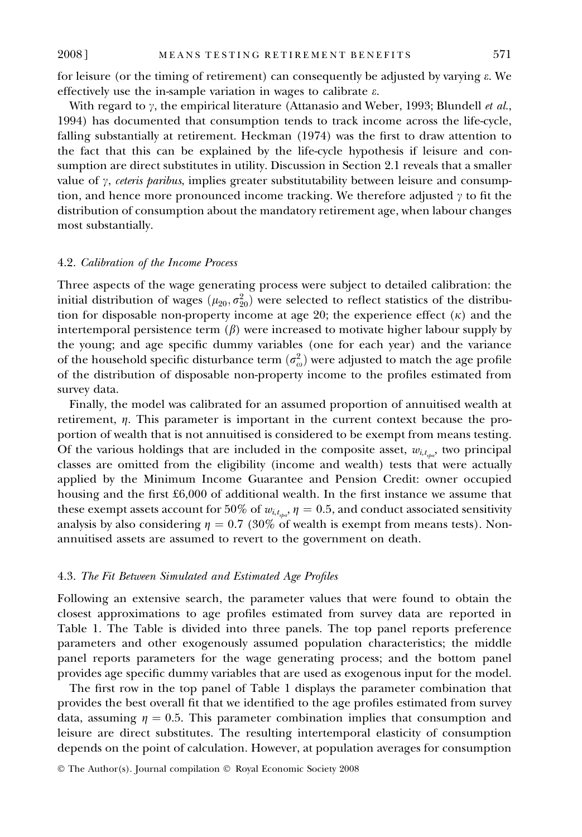for leisure (or the timing of retirement) can consequently be adjusted by varying e. We effectively use the in-sample variation in wages to calibrate  $\varepsilon$ .

With regard to  $\gamma$ , the empirical literature (Attanasio and Weber, 1993; Blundell et al., 1994) has documented that consumption tends to track income across the life-cycle, falling substantially at retirement. Heckman (1974) was the first to draw attention to the fact that this can be explained by the life-cycle hypothesis if leisure and consumption are direct substitutes in utility. Discussion in Section 2.1 reveals that a smaller value of  $\gamma$ , ceteris paribus, implies greater substitutability between leisure and consumption, and hence more pronounced income tracking. We therefore adjusted  $\gamma$  to fit the distribution of consumption about the mandatory retirement age, when labour changes most substantially.

### 4.2. Calibration of the Income Process

Three aspects of the wage generating process were subject to detailed calibration: the initial distribution of wages  $(\mu_{20}, \sigma_{20}^2)$  were selected to reflect statistics of the distribution for disposable non-property income at age 20; the experience effect  $(k)$  and the intertemporal persistence term  $(\beta)$  were increased to motivate higher labour supply by the young; and age specific dummy variables (one for each year) and the variance of the household specific disturbance term  $(\sigma_{\omega}^2)$  were adjusted to match the age profile of the distribution of disposable non-property income to the profiles estimated from survey data.

Finally, the model was calibrated for an assumed proportion of annuitised wealth at retirement,  $\eta$ . This parameter is important in the current context because the proportion of wealth that is not annuitised is considered to be exempt from means testing. Of the various holdings that are included in the composite asset,  $w_{i,t_{av}}$ , two principal classes are omitted from the eligibility (income and wealth) tests that were actually applied by the Minimum Income Guarantee and Pension Credit: owner occupied housing and the first £6,000 of additional wealth. In the first instance we assume that these exempt assets account for 50% of  $w_{i,t_{\text{max}}}, \eta = 0.5$ , and conduct associated sensitivity analysis by also considering  $\eta = 0.7$  (30% of wealth is exempt from means tests). Nonannuitised assets are assumed to revert to the government on death.

## 4.3. The Fit Between Simulated and Estimated Age Profiles

Following an extensive search, the parameter values that were found to obtain the closest approximations to age profiles estimated from survey data are reported in Table 1. The Table is divided into three panels. The top panel reports preference parameters and other exogenously assumed population characteristics; the middle panel reports parameters for the wage generating process; and the bottom panel provides age specific dummy variables that are used as exogenous input for the model.

The first row in the top panel of Table 1 displays the parameter combination that provides the best overall fit that we identified to the age profiles estimated from survey data, assuming  $\eta = 0.5$ . This parameter combination implies that consumption and leisure are direct substitutes. The resulting intertemporal elasticity of consumption depends on the point of calculation. However, at population averages for consumption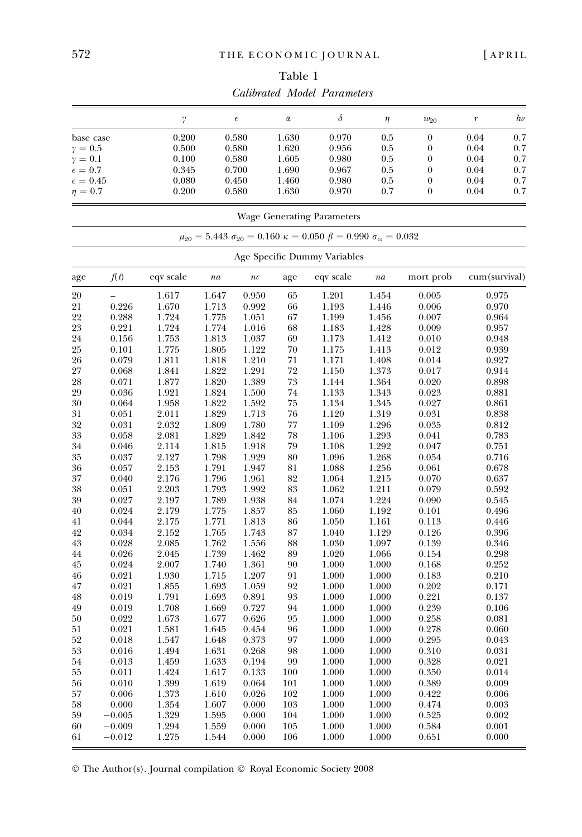|                   |                      | γ              |                | $\epsilon$     | $\alpha$   | $\delta$                                                                                    | $\eta$ | $w_{20}$         | $\boldsymbol{r}$ | lw  |
|-------------------|----------------------|----------------|----------------|----------------|------------|---------------------------------------------------------------------------------------------|--------|------------------|------------------|-----|
| base case         |                      | 0.200          |                | 0.580          | 1.630      | 0.970                                                                                       | 0.5    | $\boldsymbol{0}$ | 0.04             | 0.7 |
| $\gamma=0.5$      |                      | 0.500          |                | 0.580          | 1.620      | 0.956                                                                                       | 0.5    | $\boldsymbol{0}$ | 0.04             | 0.7 |
| $\gamma = 0.1$    |                      | 0.100          |                | 0.580          | 1.605      | 0.980                                                                                       | 0.5    | $\boldsymbol{0}$ | 0.04             | 0.7 |
| $\epsilon=0.7$    |                      | 0.345          |                | 0.700          | 1.690      | 0.967                                                                                       | 0.5    | $\boldsymbol{0}$ | 0.04             | 0.7 |
| $\epsilon = 0.45$ |                      | 0.080          |                | 0.450          | 1.460      | 0.980                                                                                       | 0.5    | $\boldsymbol{0}$ | 0.04             | 0.7 |
| $\eta=0.7$        |                      | 0.200          |                | 0.580          | 1.630      | 0.970                                                                                       | 0.7    | $\boldsymbol{0}$ | 0.04             | 0.7 |
|                   |                      |                |                |                |            | <b>Wage Generating Parameters</b>                                                           |        |                  |                  |     |
|                   |                      |                |                |                |            | $\mu_{20} = 5.443 \sigma_{20} = 0.160 \kappa = 0.050 \beta = 0.990 \sigma_{\omega} = 0.032$ |        |                  |                  |     |
|                   |                      |                |                |                |            | Age Specific Dummy Variables                                                                |        |                  |                  |     |
| age               | f(t)                 | eqv scale      | na             | $\it nc$       | age        | eqv scale                                                                                   | na     | mort prob        | cum (survival)   |     |
| 20                |                      | 1.617          | 1.647          | 0.950          | 65         | 1.201                                                                                       | 1.454  | 0.005            | 0.975            |     |
| 21                | 0.226                | 1.670          | 1.713          | 0.992          | 66         | 1.193                                                                                       | 1.446  | 0.006            | 0.970            |     |
| 22                | 0.288                | 1.724          | 1.775          | 1.051          | 67         | 1.199                                                                                       | 1.456  | 0.007            | 0.964            |     |
| 23                | 0.221                | 1.724          | 1.774          | 1.016          | 68         | 1.183                                                                                       | 1.428  | 0.009            | 0.957            |     |
| 24                | 0.156                | 1.753          | 1.813          | 1.037          | 69         | 1.173                                                                                       | 1.412  | 0.010            | 0.948            |     |
| 25                | 0.101                | 1.775          | 1.805          | 1.122          | 70         | 1.175                                                                                       | 1.413  | 0.012            | 0.939            |     |
| 26                | 0.079                | 1.811          | 1.818          | 1.210          | 71         | 1.171                                                                                       | 1.408  | 0.014            | 0.927            |     |
| 27                | 0.068                | 1.841          | 1.822          | 1.291          | 72         | 1.150                                                                                       | 1.373  | 0.017            | 0.914            |     |
| 28                | 0.071                | 1.877          | 1.820          | 1.389          | 73         | 1.144                                                                                       | 1.364  | 0.020            | 0.898            |     |
| 29                | 0.036                | 1.921          | 1.824          | 1.500          | 74         | 1.133                                                                                       | 1.343  | 0.023            | 0.881            |     |
| 30                | 0.064                | 1.958          | 1.822          | 1.592          | 75         | 1.134                                                                                       | 1.345  | 0.027            | 0.861            |     |
| 31                | 0.051                | 2.011          | 1.829          | 1.713          | 76         | 1.120                                                                                       | 1.319  | 0.031            | 0.838            |     |
| 32                | 0.031                | 2.032          | 1.809          | 1.780          | 77         | 1.109                                                                                       | 1.296  | 0.035            | 0.812            |     |
| 33                | 0.058                | 2.081          | 1.829          | 1.842          | 78         | 1.106                                                                                       | 1.293  | 0.041            | 0.783            |     |
| 34                | 0.046                | 2.114          | 1.815          | 1.918          | 79         | 1.108                                                                                       | 1.292  | 0.047            | 0.751            |     |
| 35                | 0.037                | 2.127          | 1.798          | 1.929          | 80         | 1.096                                                                                       | 1.268  | 0.054            | 0.716            |     |
| 36                | 0.057                | 2.153          | 1.791          | 1.947          | 81         | 1.088                                                                                       | 1.256  | 0.061            | 0.678            |     |
| 37                | 0.040                | 2.176          | 1.796          | 1.961          | 82         | 1.064                                                                                       | 1.215  | 0.070            | 0.637            |     |
| 38                | 0.051                | 2.203          | 1.793          | 1.992          | 83         | 1.062                                                                                       | 1.211  | 0.079            | 0.592            |     |
| 39                | 0.027                | 2.197          | 1.789          | 1.938          | 84         | 1.074                                                                                       | 1.224  | 0.090            | 0.545            |     |
| 40                | 0.024                | 2.179          | 1.775          | 1.857          | 85         | 1.060                                                                                       | 1.192  | 0.101            | 0.496            |     |
| 41                | 0.044                | 2.175          | 1.771          | 1.813          | 86         | 1.050                                                                                       | 1.161  | 0.113            | 0.446            |     |
| 42                | 0.034                | 2.152          | 1.765          | 1.743          | 87         | 1.040                                                                                       | 1.129  | 0.126            | 0.396            |     |
| 43                | 0.028                | 2.085          | 1.762          | 1.556          | 88         | 1.030                                                                                       | 1.097  | 0.139            | 0.346            |     |
| 44                | 0.026                | 2.045          | 1.739          | 1.462          | 89         | 1.020                                                                                       | 1.066  | 0.154            | 0.298            |     |
| 45                | 0.024                | 2.007          | 1.740          | 1.361          | 90         | 1.000                                                                                       | 1.000  | 0.168            | 0.252            |     |
| 46                | 0.021                | 1.930          | 1.715          | 1.207          | 91         | 1.000                                                                                       | 1.000  | 0.183            | 0.210            |     |
| 47                | 0.021                | 1.855          | 1.693          | 1.059          | 92         | 1.000                                                                                       | 1.000  | 0.202            | 0.171            |     |
| 48                | 0.019                | 1.791          | 1.693          | 0.891          | 93         | 1.000                                                                                       | 1.000  | 0.221            | 0.137            |     |
| 49                | 0.019                | 1.708          | 1.669          | 0.727          | 94         | 1.000                                                                                       | 1.000  | 0.239            | 0.106            |     |
| 50                | 0.022                | 1.673          | 1.677          | 0.626          | 95         | 1.000                                                                                       | 1.000  | 0.258            | 0.081            |     |
| 51                | 0.021                | 1.581          | 1.645          | 0.454          | 96         | 1.000                                                                                       | 1.000  | 0.278            | 0.060            |     |
| 52                | 0.018                | 1.547          | 1.648          | 0.373          | 97         | 1.000                                                                                       | 1.000  | 0.295            | 0.043            |     |
| 53                | 0.016                | 1.494<br>1.459 | 1.631<br>1.633 | 0.268          | 98         | 1.000                                                                                       | 1.000  | 0.310            | 0.031            |     |
| 54                | 0.013                |                |                | 0.194          | 99         | 1.000                                                                                       | 1.000  | 0.328            | 0.021            |     |
| 55                | 0.011                | 1.424          | 1.617          | 0.133          | 100        | 1.000                                                                                       | 1.000  | 0.350            | 0.014            |     |
| 56                | 0.010                | 1.399          | 1.619          | 0.064          | 101        | 1.000                                                                                       | 1.000  | 0.389            | 0.009            |     |
| 57                | 0.006                | 1.373          | 1.610          | 0.026          | 102        | 1.000                                                                                       | 1.000  | 0.422            | 0.006            |     |
| 58                | 0.000                | 1.354          | 1.607          | 0.000          | 103        | 1.000                                                                                       | 1.000  | 0.474            | 0.003            |     |
| 59                | $-0.005$             | 1.329          | 1.595          | 0.000          | 104        | 1.000                                                                                       | 1.000  | 0.525            | 0.002            |     |
| 60                | $-0.009$<br>$-0.012$ | 1.294          | 1.559          | 0.000<br>0.000 | 105<br>106 | 1.000<br>1.000                                                                              | 1.000  | 0.584            | 0.001<br>0.000   |     |
| 61                |                      | 1.275          | 1.544          |                |            |                                                                                             | 1.000  | 0.651            |                  |     |

Table 1 Calibrated Model Parameters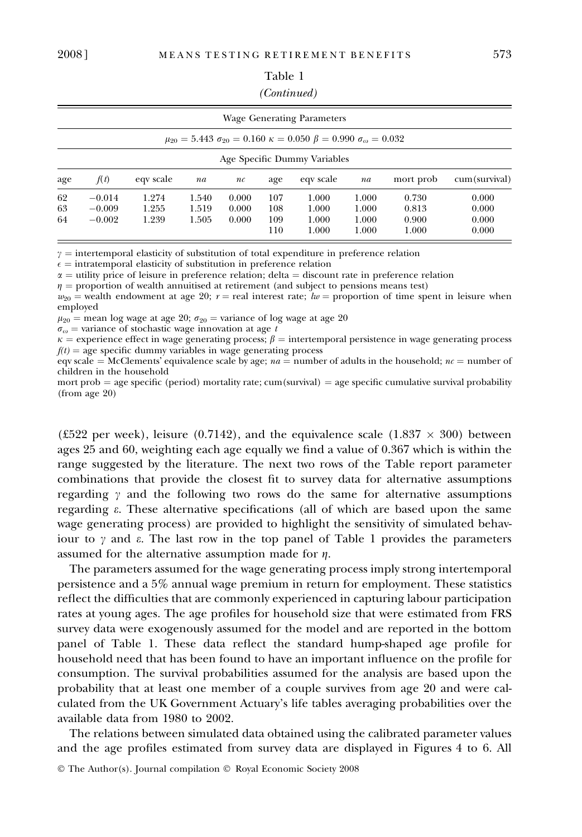# Table 1

# (Continued)

|                |                                  |                         |                         |                         |                          | <b>Wage Generating Parameters</b>                                                       |                                  |                                  |                                  |  |  |
|----------------|----------------------------------|-------------------------|-------------------------|-------------------------|--------------------------|-----------------------------------------------------------------------------------------|----------------------------------|----------------------------------|----------------------------------|--|--|
|                |                                  |                         |                         |                         |                          | $\mu_{90} = 5.443 \sigma_{90} = 0.160 \kappa = 0.050 \beta = 0.990 \sigma_{00} = 0.032$ |                                  |                                  |                                  |  |  |
|                | Age Specific Dummy Variables     |                         |                         |                         |                          |                                                                                         |                                  |                                  |                                  |  |  |
| age            | f(t)                             | eqv scale               | na                      | nc                      | age                      | eqv scale                                                                               | na                               | mort prob                        | cum (survival)                   |  |  |
| 62<br>63<br>64 | $-0.014$<br>$-0.009$<br>$-0.002$ | 1.274<br>1.255<br>1.239 | 1.540<br>1.519<br>1.505 | 0.000<br>0.000<br>0.000 | 107<br>108<br>109<br>110 | 1.000<br>1.000<br>1.000<br>1.000                                                        | 1.000<br>1.000<br>1.000<br>1.000 | 0.730<br>0.813<br>0.900<br>1.000 | 0.000<br>0.000<br>0.000<br>0.000 |  |  |

 $\gamma$  = intertemporal elasticity of substitution of total expenditure in preference relation

 $\epsilon$  = intratemporal elasticity of substitution in preference relation

 $\alpha$  = utility price of leisure in preference relation; delta = discount rate in preference relation

 $\eta$  = proportion of wealth annuitised at retirement (and subject to pensions means test)

 $w_{20}$  = wealth endowment at age 20;  $r$  = real interest rate;  $lw$  = proportion of time spent in leisure when employed

 $\mu_{20}$  = mean log wage at age 20;  $\sigma_{20}$  = variance of log wage at age 20

 $\sigma_{\omega}$  = variance of stochastic wage innovation at age t

 $\kappa$  = experience effect in wage generating process;  $\beta$  = intertemporal persistence in wage generating process  $f(t)$  = age specific dummy variables in wage generating process

eqv scale  $=$  McClements' equivalence scale by age;  $na =$  number of adults in the household;  $nc =$  number of children in the household

mort prob  $=$  age specific (period) mortality rate; cum(survival)  $=$  age specific cumulative survival probability (from age 20)

(£522 per week), leisure (0.7142), and the equivalence scale (1.837  $\times$  300) between ages 25 and 60, weighting each age equally we find a value of 0.367 which is within the range suggested by the literature. The next two rows of the Table report parameter combinations that provide the closest fit to survey data for alternative assumptions regarding  $\gamma$  and the following two rows do the same for alternative assumptions regarding e. These alternative specifications (all of which are based upon the same wage generating process) are provided to highlight the sensitivity of simulated behaviour to  $\gamma$  and  $\varepsilon$ . The last row in the top panel of Table 1 provides the parameters assumed for the alternative assumption made for  $\eta$ .

The parameters assumed for the wage generating process imply strong intertemporal persistence and a 5% annual wage premium in return for employment. These statistics reflect the difficulties that are commonly experienced in capturing labour participation rates at young ages. The age profiles for household size that were estimated from FRS survey data were exogenously assumed for the model and are reported in the bottom panel of Table 1. These data reflect the standard hump-shaped age profile for household need that has been found to have an important influence on the profile for consumption. The survival probabilities assumed for the analysis are based upon the probability that at least one member of a couple survives from age 20 and were calculated from the UK Government Actuary's life tables averaging probabilities over the available data from 1980 to 2002.

The relations between simulated data obtained using the calibrated parameter values and the age profiles estimated from survey data are displayed in Figures 4 to 6. All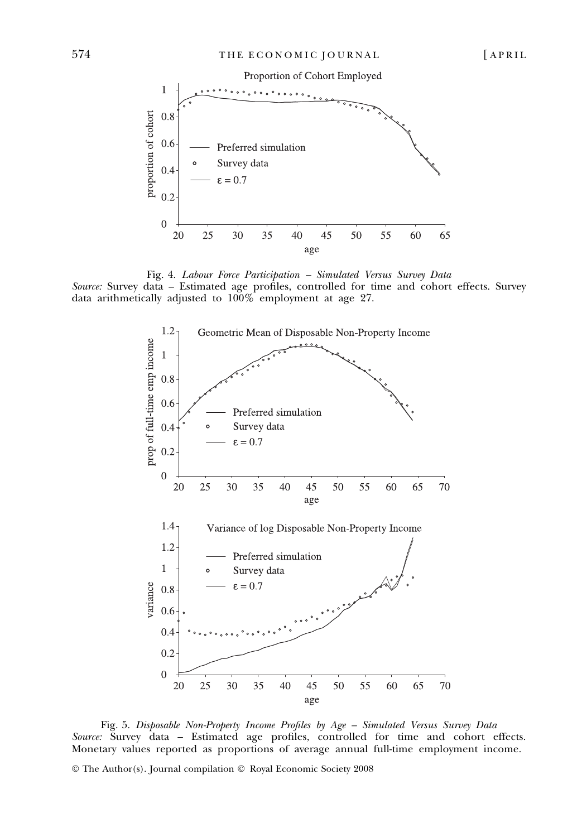

Fig. 4. Labour Force Participation – Simulated Versus Survey Data Source: Survey data – Estimated age profiles, controlled for time and cohort effects. Survey data arithmetically adjusted to 100% employment at age 27.



Fig. 5. Disposable Non-Property Income Profiles by Age – Simulated Versus Survey Data Source: Survey data - Estimated age profiles, controlled for time and cohort effects. Monetary values reported as proportions of average annual full-time employment income.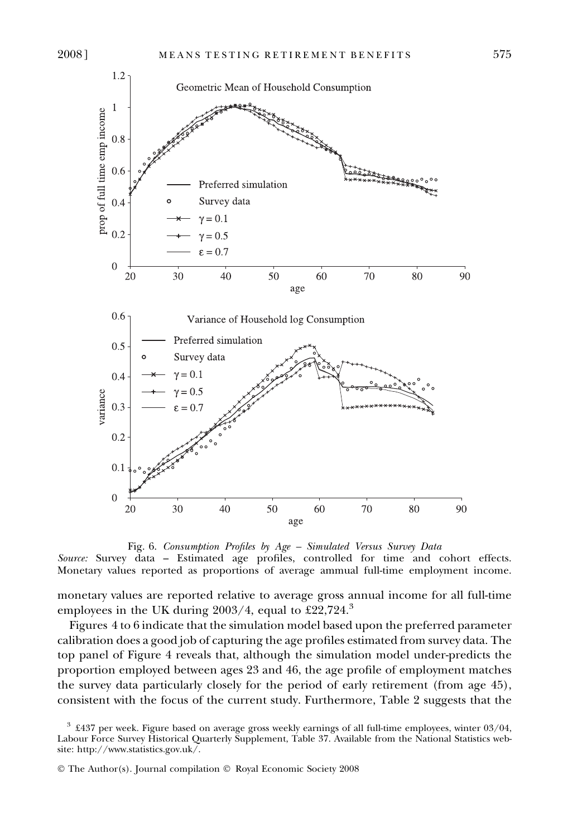

Fig. 6. Consumption Profiles by Age – Simulated Versus Survey Data Source: Survey data - Estimated age profiles, controlled for time and cohort effects. Monetary values reported as proportions of average ammual full-time employment income.

monetary values are reported relative to average gross annual income for all full-time employees in the UK during  $2003/4$ , equal to £22,724.<sup>3</sup>

Figures 4 to 6 indicate that the simulation model based upon the preferred parameter calibration does a good job of capturing the age profiles estimated from survey data. The top panel of Figure 4 reveals that, although the simulation model under-predicts the proportion employed between ages 23 and 46, the age profile of employment matches the survey data particularly closely for the period of early retirement (from age 45), consistent with the focus of the current study. Furthermore, Table 2 suggests that the

 $3\text{ }$  £437 per week. Figure based on average gross weekly earnings of all full-time employees, winter 03/04, Labour Force Survey Historical Quarterly Supplement, Table 37. Available from the National Statistics website: http://www.statistics.gov.uk/.

<sup>©</sup> The Author(s). Journal compilation © Royal Economic Society 2008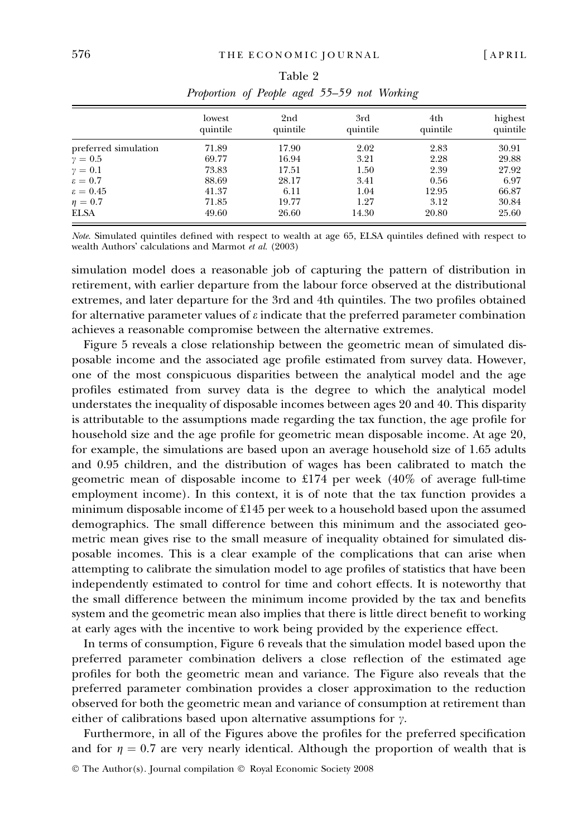|                      | lowest<br>quintile | 2nd<br>quintile | 3rd<br>quintile | 4th<br>quintile | highest<br>quintile |
|----------------------|--------------------|-----------------|-----------------|-----------------|---------------------|
| preferred simulation | 71.89              | 17.90           | 2.02            | 2.83            | 30.91               |
| $\gamma=0.5$         | 69.77              | 16.94           | 3.21            | 2.28            | 29.88               |
| $\gamma=0.1$         | 73.83              | 17.51           | 1.50            | 2.39            | 27.92               |
| $\epsilon = 0.7$     | 88.69              | 28.17           | 3.41            | 0.56            | 6.97                |
| $\epsilon = 0.45$    | 41.37              | 6.11            | 1.04            | 12.95           | 66.87               |
| $\eta=0.7$           | 71.85              | 19.77           | 1.27            | 3.12            | 30.84               |
| <b>ELSA</b>          | 49.60              | 26.60           | 14.30           | 20.80           | 25.60               |
|                      |                    |                 |                 |                 |                     |

Table 2 Proportion of People aged 55–59 not Working

Note. Simulated quintiles defined with respect to wealth at age 65, ELSA quintiles defined with respect to wealth Authors' calculations and Marmot et al. (2003)

simulation model does a reasonable job of capturing the pattern of distribution in retirement, with earlier departure from the labour force observed at the distributional extremes, and later departure for the 3rd and 4th quintiles. The two profiles obtained for alternative parameter values of  $\varepsilon$  indicate that the preferred parameter combination achieves a reasonable compromise between the alternative extremes.

Figure 5 reveals a close relationship between the geometric mean of simulated disposable income and the associated age profile estimated from survey data. However, one of the most conspicuous disparities between the analytical model and the age profiles estimated from survey data is the degree to which the analytical model understates the inequality of disposable incomes between ages 20 and 40. This disparity is attributable to the assumptions made regarding the tax function, the age profile for household size and the age profile for geometric mean disposable income. At age 20, for example, the simulations are based upon an average household size of 1.65 adults and 0.95 children, and the distribution of wages has been calibrated to match the geometric mean of disposable income to £174 per week (40% of average full-time employment income). In this context, it is of note that the tax function provides a minimum disposable income of £145 per week to a household based upon the assumed demographics. The small difference between this minimum and the associated geometric mean gives rise to the small measure of inequality obtained for simulated disposable incomes. This is a clear example of the complications that can arise when attempting to calibrate the simulation model to age profiles of statistics that have been independently estimated to control for time and cohort effects. It is noteworthy that the small difference between the minimum income provided by the tax and benefits system and the geometric mean also implies that there is little direct benefit to working at early ages with the incentive to work being provided by the experience effect.

In terms of consumption, Figure 6 reveals that the simulation model based upon the preferred parameter combination delivers a close reflection of the estimated age profiles for both the geometric mean and variance. The Figure also reveals that the preferred parameter combination provides a closer approximation to the reduction observed for both the geometric mean and variance of consumption at retirement than either of calibrations based upon alternative assumptions for  $\gamma$ .

Furthermore, in all of the Figures above the profiles for the preferred specification and for  $\eta = 0.7$  are very nearly identical. Although the proportion of wealth that is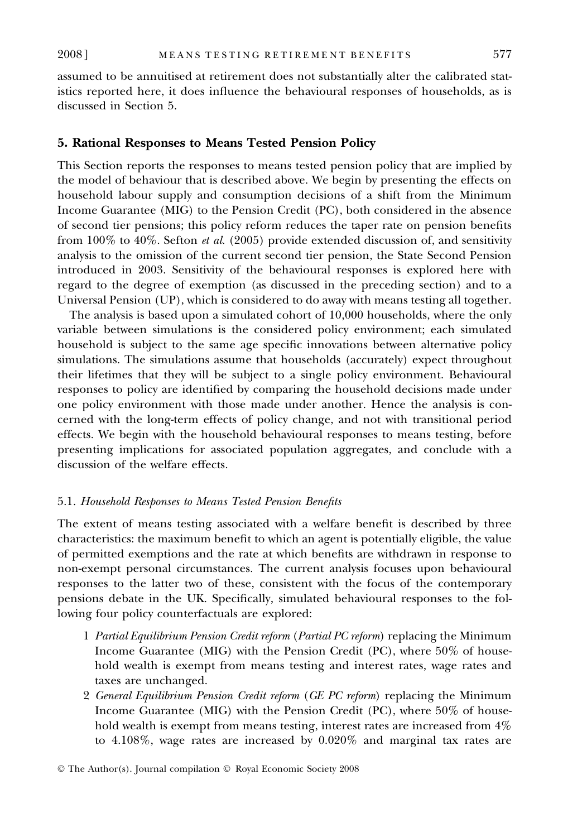assumed to be annuitised at retirement does not substantially alter the calibrated statistics reported here, it does influence the behavioural responses of households, as is discussed in Section 5.

## 5. Rational Responses to Means Tested Pension Policy

This Section reports the responses to means tested pension policy that are implied by the model of behaviour that is described above. We begin by presenting the effects on household labour supply and consumption decisions of a shift from the Minimum Income Guarantee (MIG) to the Pension Credit (PC), both considered in the absence of second tier pensions; this policy reform reduces the taper rate on pension benefits from  $100\%$  to  $40\%$ . Sefton *et al.* (2005) provide extended discussion of, and sensitivity analysis to the omission of the current second tier pension, the State Second Pension introduced in 2003. Sensitivity of the behavioural responses is explored here with regard to the degree of exemption (as discussed in the preceding section) and to a Universal Pension (UP), which is considered to do away with means testing all together.

The analysis is based upon a simulated cohort of 10,000 households, where the only variable between simulations is the considered policy environment; each simulated household is subject to the same age specific innovations between alternative policy simulations. The simulations assume that households (accurately) expect throughout their lifetimes that they will be subject to a single policy environment. Behavioural responses to policy are identified by comparing the household decisions made under one policy environment with those made under another. Hence the analysis is concerned with the long-term effects of policy change, and not with transitional period effects. We begin with the household behavioural responses to means testing, before presenting implications for associated population aggregates, and conclude with a discussion of the welfare effects.

## 5.1. Household Responses to Means Tested Pension Benefits

The extent of means testing associated with a welfare benefit is described by three characteristics: the maximum benefit to which an agent is potentially eligible, the value of permitted exemptions and the rate at which benefits are withdrawn in response to non-exempt personal circumstances. The current analysis focuses upon behavioural responses to the latter two of these, consistent with the focus of the contemporary pensions debate in the UK. Specifically, simulated behavioural responses to the following four policy counterfactuals are explored:

- 1 Partial Equilibrium Pension Credit reform (Partial PC reform) replacing the Minimum Income Guarantee (MIG) with the Pension Credit (PC), where 50% of household wealth is exempt from means testing and interest rates, wage rates and taxes are unchanged.
- 2 General Equilibrium Pension Credit reform (GE PC reform) replacing the Minimum Income Guarantee (MIG) with the Pension Credit (PC), where 50% of household wealth is exempt from means testing, interest rates are increased from  $4\%$ to 4.108%, wage rates are increased by 0.020% and marginal tax rates are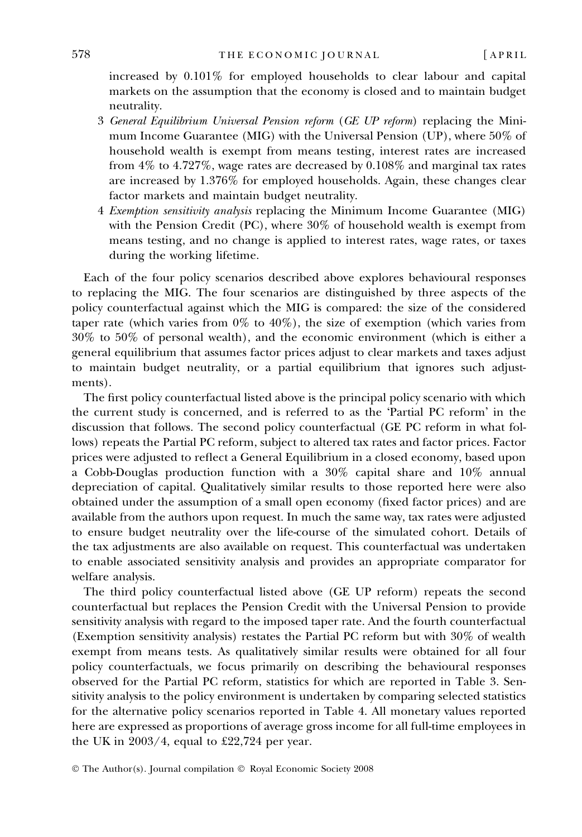increased by 0.101% for employed households to clear labour and capital markets on the assumption that the economy is closed and to maintain budget neutrality.

- 3 General Equilibrium Universal Pension reform (GE UP reform) replacing the Minimum Income Guarantee (MIG) with the Universal Pension (UP), where 50% of household wealth is exempt from means testing, interest rates are increased from 4% to 4.727%, wage rates are decreased by 0.108% and marginal tax rates are increased by 1.376% for employed households. Again, these changes clear factor markets and maintain budget neutrality.
- 4 Exemption sensitivity analysis replacing the Minimum Income Guarantee (MIG) with the Pension Credit (PC), where 30% of household wealth is exempt from means testing, and no change is applied to interest rates, wage rates, or taxes during the working lifetime.

Each of the four policy scenarios described above explores behavioural responses to replacing the MIG. The four scenarios are distinguished by three aspects of the policy counterfactual against which the MIG is compared: the size of the considered taper rate (which varies from  $0\%$  to  $40\%)$ , the size of exemption (which varies from 30% to 50% of personal wealth), and the economic environment (which is either a general equilibrium that assumes factor prices adjust to clear markets and taxes adjust to maintain budget neutrality, or a partial equilibrium that ignores such adjustments).

The first policy counterfactual listed above is the principal policy scenario with which the current study is concerned, and is referred to as the 'Partial PC reform' in the discussion that follows. The second policy counterfactual (GE PC reform in what follows) repeats the Partial PC reform, subject to altered tax rates and factor prices. Factor prices were adjusted to reflect a General Equilibrium in a closed economy, based upon a Cobb-Douglas production function with a 30% capital share and 10% annual depreciation of capital. Qualitatively similar results to those reported here were also obtained under the assumption of a small open economy (fixed factor prices) and are available from the authors upon request. In much the same way, tax rates were adjusted to ensure budget neutrality over the life-course of the simulated cohort. Details of the tax adjustments are also available on request. This counterfactual was undertaken to enable associated sensitivity analysis and provides an appropriate comparator for welfare analysis.

The third policy counterfactual listed above (GE UP reform) repeats the second counterfactual but replaces the Pension Credit with the Universal Pension to provide sensitivity analysis with regard to the imposed taper rate. And the fourth counterfactual (Exemption sensitivity analysis) restates the Partial PC reform but with 30% of wealth exempt from means tests. As qualitatively similar results were obtained for all four policy counterfactuals, we focus primarily on describing the behavioural responses observed for the Partial PC reform, statistics for which are reported in Table 3. Sensitivity analysis to the policy environment is undertaken by comparing selected statistics for the alternative policy scenarios reported in Table 4. All monetary values reported here are expressed as proportions of average gross income for all full-time employees in the UK in  $2003/4$ , equal to £22,724 per year.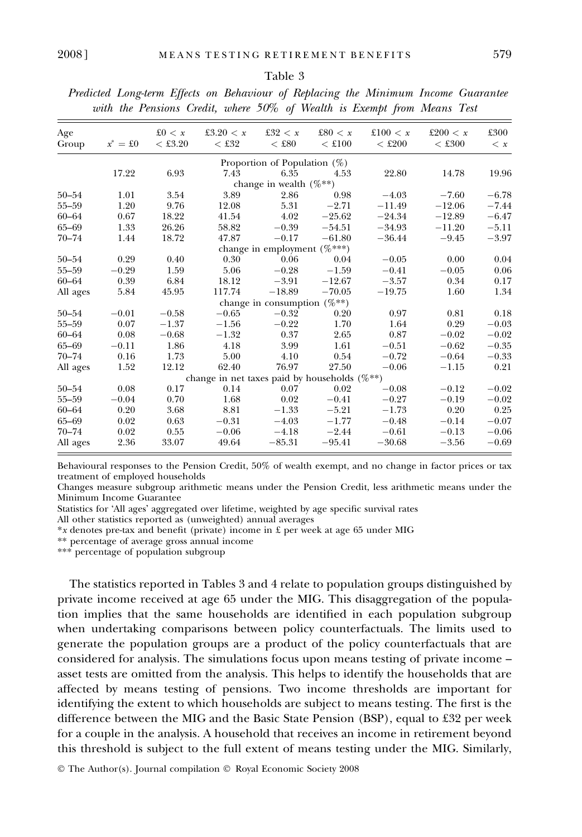| Age<br>Group | $x^* = \pounds 0$ | $\pounds 0 < x$<br>$<$ £3.20 | £3.20 $< x$<br>$<$ £32                             | £32 $\lt x$<br>$<$ £80            | £80 $\lt x$<br>$<$ £100 | £100 $\lt x$<br>$<$ £200 | £200 $\lt x$<br>$<$ £300 | £300<br>$\langle x$ |
|--------------|-------------------|------------------------------|----------------------------------------------------|-----------------------------------|-------------------------|--------------------------|--------------------------|---------------------|
|              |                   |                              |                                                    | Proportion of Population (%)      |                         |                          |                          |                     |
|              | 17.22             | 6.93                         | 7.43                                               | 6.35                              | 4.53                    | 22.80                    | 14.78                    | 19.96               |
|              |                   |                              |                                                    | change in wealth $(\%^{**})$      |                         |                          |                          |                     |
| $50 - 54$    | 1.01              | 3.54                         | 3.89                                               | 2.86                              | 0.98                    | $-4.03$                  | $-7.60$                  | $-6.78$             |
| 55-59        | 1.20              | 9.76                         | 12.08                                              | 5.31                              | $-2.71$                 | $-11.49$                 | $-12.06$                 | $-7.44$             |
| $60 - 64$    | 0.67              | 18.22                        | 41.54                                              | 4.02                              | $-25.62$                | $-24.34$                 | $-12.89$                 | $-6.47$             |
| 65-69        | 1.33              | 26.26                        | 58.82                                              | $-0.39$                           | $-54.51$                | $-34.93$                 | $-11.20$                 | $-5.11$             |
| $70 - 74$    | 1.44              | 18.72                        | 47.87                                              | $-0.17$                           | $-61.80$                | $-36.44$                 | $-9.45$                  | $-3.97$             |
|              |                   |                              |                                                    | change in employment (%***)       |                         |                          |                          |                     |
| $50 - 54$    | 0.29              | 0.40                         | 0.30                                               | 0.06                              | 0.04                    | $-0.05$                  | 0.00                     | 0.04                |
| $55 - 59$    | $-0.29$           | 1.59                         | 5.06                                               | $-0.28$                           | $-1.59$                 | $-0.41$                  | $-0.05$                  | 0.06                |
| 60-64        | 0.39              | 6.84                         | 18.12                                              | $-3.91$                           | $-12.67$                | $-3.57$                  | 0.34                     | 0.17                |
| All ages     | 5.84              | 45.95                        | 117.74                                             | $-18.89$                          | $-70.05$                | $-19.75$                 | 1.60                     | 1.34                |
|              |                   |                              |                                                    | change in consumption $(\%^{**})$ |                         |                          |                          |                     |
| $50 - 54$    | $-0.01$           | $-0.58$                      | $-0.65$                                            | $-0.32$                           | 0.20                    | 0.97                     | 0.81                     | 0.18                |
| 55-59        | 0.07              | $-1.37$                      | $-1.56$                                            | $-0.22$                           | 1.70                    | 1.64                     | 0.29                     | $-0.03$             |
| $60 - 64$    | 0.08              | $-0.68$                      | $-1.32$                                            | 0.37                              | 2.65                    | 0.87                     | $-0.02$                  | $-0.02$             |
| $65 - 69$    | $-0.11$           | 1.86                         | 4.18                                               | 3.99                              | 1.61                    | $-0.51$                  | $-0.62$                  | $-0.35$             |
| $70 - 74$    | 0.16              | 1.73                         | 5.00                                               | 4.10                              | 0.54                    | $-0.72$                  | $-0.64$                  | $-0.33$             |
| All ages     | 1.52              | 12.12                        | 62.40                                              | 76.97                             | 27.50                   | $-0.06$                  | $-1.15$                  | 0.21                |
|              |                   |                              | change in net taxes paid by households $(\%^{**})$ |                                   |                         |                          |                          |                     |
| $50 - 54$    | 0.08              | 0.17                         | 0.14                                               | 0.07                              | 0.02                    | $-0.08$                  | $-0.12$                  | $-0.02$             |
| 55-59        | $-0.04$           | 0.70                         | 1.68                                               | 0.02                              | $-0.41$                 | $-0.27$                  | $-0.19$                  | $-0.02$             |
| 60-64        | 0.20              | 3.68                         | 8.81                                               | $-1.33$                           | $-5.21$                 | $-1.73$                  | 0.20                     | 0.25                |
| 65-69        | 0.02              | 0.63                         | $-0.31$                                            | $-4.03$                           | $-1.77$                 | $-0.48$                  | $-0.14$                  | $-0.07$             |
| $70 - 74$    | 0.02              | 0.55                         | $-0.06$                                            | $-4.18$                           | $-2.44$                 | $-0.61$                  | $-0.13$                  | $-0.06$             |
| All ages     | 2.36              | 33.07                        | 49.64                                              | $-85.31$                          | $-95.41$                | $-30.68$                 | $-3.56$                  | $-0.69$             |

Predicted Long-term Effects on Behaviour of Replacing the Minimum Income Guarantee with the Pensions Credit, where 50% of Wealth is Exempt from Means Test

Behavioural responses to the Pension Credit, 50% of wealth exempt, and no change in factor prices or tax treatment of employed households

Changes measure subgroup arithmetic means under the Pension Credit, less arithmetic means under the Minimum Income Guarantee

Statistics for 'All ages' aggregated over lifetime, weighted by age specific survival rates

All other statistics reported as (unweighted) annual averages

\*x denotes pre-tax and benefit (private) income in £ per week at age 65 under MIG

\*\* percentage of average gross annual income

\*\*\* percentage of population subgroup

The statistics reported in Tables 3 and 4 relate to population groups distinguished by private income received at age 65 under the MIG. This disaggregation of the population implies that the same households are identified in each population subgroup when undertaking comparisons between policy counterfactuals. The limits used to generate the population groups are a product of the policy counterfactuals that are considered for analysis. The simulations focus upon means testing of private income – asset tests are omitted from the analysis. This helps to identify the households that are affected by means testing of pensions. Two income thresholds are important for identifying the extent to which households are subject to means testing. The first is the difference between the MIG and the Basic State Pension (BSP), equal to £32 per week for a couple in the analysis. A household that receives an income in retirement beyond this threshold is subject to the full extent of means testing under the MIG. Similarly,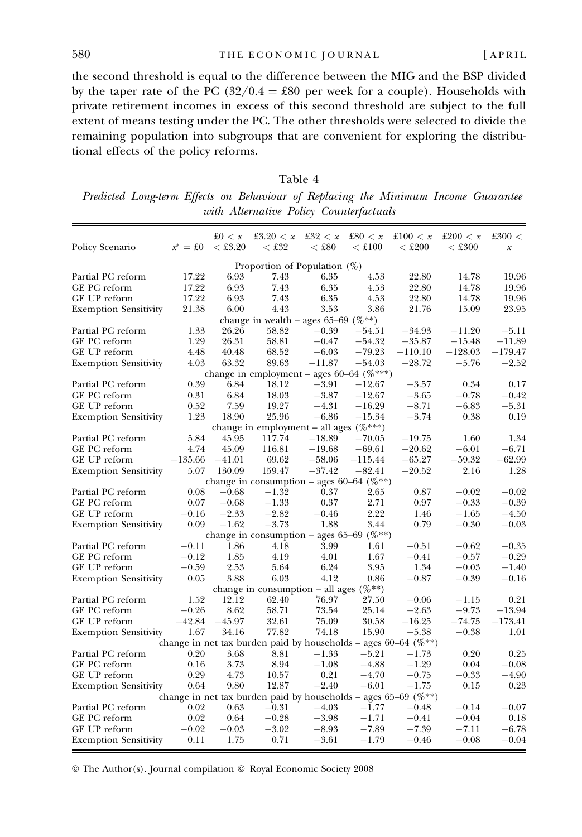the second threshold is equal to the difference between the MIG and the BSP divided by the taper rate of the PC  $(32/0.4 = \text{\textsterling}80$  per week for a couple). Households with private retirement incomes in excess of this second threshold are subject to the full extent of means testing under the PC. The other thresholds were selected to divide the remaining population into subgroups that are convenient for exploring the distributional effects of the policy reforms.

Predicted Long-term Effects on Behaviour of Replacing the Minimum Income Guarantee with Alternative Policy Counterfactuals

| Policy Scenario              | $x^* = \pounds 0$ | $\pounds 0 < x$<br>$<$ £3.20 | £3.20 $< x$<br>$<$ £32                                              | £32 $\lt x$<br>$<$ £80 | $\pounds 80 < x$<br>$<$ £100 | £100 $\lt x$<br>$<$ £200 | £200 $\lt x$<br>$<$ £300 | £300 $<$<br>$\boldsymbol{\mathcal{X}}$ |
|------------------------------|-------------------|------------------------------|---------------------------------------------------------------------|------------------------|------------------------------|--------------------------|--------------------------|----------------------------------------|
|                              |                   |                              |                                                                     |                        |                              |                          |                          |                                        |
|                              |                   |                              | Proportion of Population $(\%)$                                     |                        |                              |                          |                          |                                        |
| Partial PC reform            | 17.22             | 6.93                         | 7.43                                                                | 6.35                   | 4.53                         | 22.80                    | 14.78                    | 19.96                                  |
| GE PC reform                 | 17.22             | 6.93                         | 7.43                                                                | 6.35                   | 4.53                         | 22.80                    | 14.78                    | 19.96                                  |
| GE UP reform                 | 17.22             | 6.93                         | 7.43                                                                | 6.35                   | 4.53                         | 22.80                    | 14.78                    | 19.96                                  |
| <b>Exemption Sensitivity</b> | 21.38             | 6.00                         | 4.43                                                                | 3.53                   | 3.86                         | 21.76                    | 15.09                    | 23.95                                  |
|                              |                   |                              | change in wealth – ages 65–69 ( $\%^{**}$ )                         |                        |                              |                          |                          |                                        |
| Partial PC reform            | 1.33              | 26.26                        | 58.82                                                               | $-0.39$                | $-54.51$                     | $-34.93$                 | $-11.20$                 | $-5.11$                                |
| GE PC reform                 | 1.29              | 26.31                        | 58.81                                                               | $-0.47$                | $-54.32$                     | $-35.87$                 | $^{-15.48}$              | $-11.89$                               |
| GE UP reform                 | 4.48              | 40.48                        | 68.52                                                               | $-6.03$                | $-79.23$                     | $-110.10$                | $-128.03$                | $-179.47$                              |
| <b>Exemption Sensitivity</b> | 4.03              | 63.32                        | 89.63                                                               | $-11.87$               | $-54.03$                     | $-28.72$                 | $-5.76$                  | $-2.52$                                |
|                              |                   |                              | change in employment – ages 60–64 ( $%$ ***)                        |                        |                              |                          |                          |                                        |
| Partial PC reform            | 0.39              | 6.84                         | 18.12                                                               | $-3.91$                | $-12.67$                     | $-3.57$                  | 0.34                     | 0.17                                   |
| GE PC reform                 | 0.31              | 6.84                         | 18.03                                                               | $-3.87$                | $-12.67$                     | $-3.65$                  | $-0.78$                  | $-0.42$                                |
| GE UP reform                 | 0.52              | 7.59                         | 19.27                                                               | $-4.31$                | $-16.29$                     | $-8.71$                  | $-6.83$                  | $-5.31$                                |
| <b>Exemption Sensitivity</b> | 1.23              | 18.90                        | 25.96                                                               | $-6.86$                | $-15.34$                     | $-3.74$                  | 0.38                     | 0.19                                   |
|                              |                   |                              | change in employment - all ages $(\%^{***})$                        |                        |                              |                          |                          |                                        |
| Partial PC reform            | 5.84              | 45.95                        | 117.74                                                              | $-18.89$               | $-70.05$                     | $-19.75$                 | 1.60                     | 1.34                                   |
| GE PC reform                 | 4.74              | 45.09                        | 116.81                                                              | $-19.68$               | $-69.61$                     | $-20.62$                 | $-6.01$                  | $-6.71$                                |
| GE UP reform                 | $-135.66$         | $-41.01$                     | 69.62                                                               | $-58.06$               | $-115.44$                    | $-65.27$                 | $-59.32$                 | $-62.99$                               |
| <b>Exemption Sensitivity</b> | 5.07              | 130.09                       | 159.47                                                              | $-37.42$               | $-82.41$                     | $-20.52$                 | 2.16                     | 1.28                                   |
|                              |                   |                              | change in consumption - ages 60-64 (%**)                            |                        |                              |                          |                          |                                        |
| Partial PC reform            | 0.08              | $-0.68$                      | $^{-1.32}$                                                          | 0.37                   | 2.65                         | 0.87                     | $-0.02$                  | $-0.02$                                |
| GE PC reform                 | 0.07              | $-0.68$                      | $-1.33$                                                             | 0.37                   | 2.71                         | 0.97                     | $-0.33$                  | $-0.39$                                |
| GE UP reform                 | $-0.16$           | $-2.33$                      | $-2.82$                                                             | $-0.46$                | 2.22                         | 1.46                     | $-1.65$                  | $-4.50$                                |
| <b>Exemption Sensitivity</b> | 0.09              | $-1.62$                      | $-3.73$                                                             | 1.88                   | 3.44                         | 0.79                     | $-0.30$                  | $-0.03$                                |
|                              |                   |                              | change in consumption - ages 65-69 (%**)                            |                        |                              |                          |                          |                                        |
| Partial PC reform            | $-0.11$           | 1.86                         | 4.18                                                                | 3.99                   | 1.61                         | $-0.51$                  | $-0.62$                  | $-0.35$                                |
| GE PC reform                 | $-0.12$           | 1.85                         | 4.19                                                                | 4.01                   | 1.67                         | $-0.41$                  | $-0.57$                  | $-0.29$                                |
| GE UP reform                 | $-0.59$           | 2.53                         | 5.64                                                                | 6.24                   | 3.95                         | 1.34                     | $-0.03$                  | $-1.40$                                |
| <b>Exemption Sensitivity</b> | 0.05              | 3.88                         | 6.03                                                                | 4.12                   | 0.86                         | $-0.87$                  | $-0.39$                  | $-0.16$                                |
|                              |                   |                              | change in consumption – all ages $(\%^{**})$                        |                        |                              |                          |                          |                                        |
| Partial PC reform            | 1.52              | 12.12                        | 62.40                                                               | 76.97                  | 27.50                        | $-0.06$                  | $-1.15$                  | 0.21                                   |
| GE PC reform                 | $-0.26$           | 8.62                         | 58.71                                                               | 73.54                  | 25.14                        | $-2.63$                  | $-9.73$                  | $-13.94$                               |
| GE UP reform                 | $-42.84$          | $-45.97$                     | 32.61                                                               | 75.09                  | 30.58                        | $-16.25$                 | $-74.75$                 | $-173.41$                              |
| <b>Exemption Sensitivity</b> | 1.67              | 34.16                        | 77.82                                                               | 74.18                  | 15.90                        | $-5.38$                  | $-0.38$                  | 1.01                                   |
|                              |                   |                              | change in net tax burden paid by households – ages 60–64 ( $\%$ **) |                        |                              |                          |                          |                                        |
| Partial PC reform            | 0.20              | 3.68                         | 8.81                                                                | $-1.33$                | $-5.21$                      | $-1.73$                  | 0.20                     | 0.25                                   |
| GE PC reform                 | 0.16              | 3.73                         | 8.94                                                                | $^{-1.08}$             | $-4.88$                      | $-1.29$                  | 0.04                     | $-0.08$                                |
| GE UP reform                 | 0.29              | 4.73                         | 10.57                                                               | 0.21                   | $-4.70$                      | $-0.75$                  | $-0.33$                  | $-4.90$                                |
| <b>Exemption Sensitivity</b> | 0.64              | 9.80                         | 12.87                                                               | $-2.40$                | $-6.01$                      | $-1.75$                  | 0.15                     | 0.23                                   |
|                              |                   |                              | change in net tax burden paid by households – ages 65–69 ( $\%$ **) |                        |                              |                          |                          |                                        |
| Partial PC reform            | 0.02              | 0.63                         | $-0.31$                                                             | $-4.03$                | $-1.77$                      | $-0.48$                  | $-0.14$                  | $-0.07$                                |
| GE PC reform                 | 0.02              | 0.64                         | $-0.28$                                                             | $-3.98$                | $-1.71$                      | $-0.41$                  | $-0.04$                  | 0.18                                   |
| GE UP reform                 | $-0.02$           | $-0.03$                      | $-3.02$                                                             | $-8.93$                | $-7.89\,$                    | $-7.39$                  | $-7.11$                  | $-6.78$                                |
| <b>Exemption Sensitivity</b> | 0.11              | 1.75                         | 0.71                                                                | $-3.61$                | $-1.79$                      | $-0.46$                  | $-0.08$                  | $-0.04$                                |
|                              |                   |                              |                                                                     |                        |                              |                          |                          |                                        |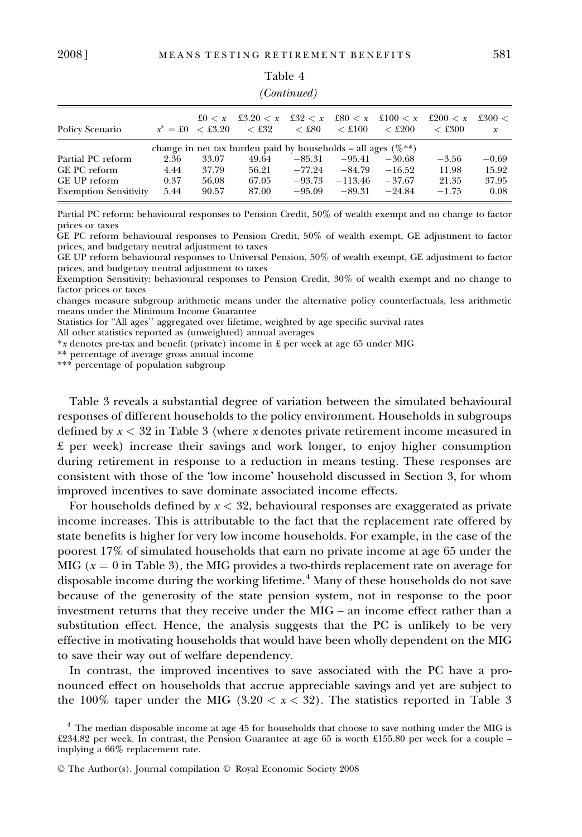|                                                              |                      |                         |                                                                             | <i>contentation</i>              |                                   |                                                          |                               |                           |
|--------------------------------------------------------------|----------------------|-------------------------|-----------------------------------------------------------------------------|----------------------------------|-----------------------------------|----------------------------------------------------------|-------------------------------|---------------------------|
| Policy Scenario                                              |                      | $x^* = £0 \leq £3.20$   | $\pounds 0 < x$ £3.20 $< x$<br>$<$ £32                                      | $<$ £80                          | $\leq$ £100                       | $\pounds32 < x \pounds80 < x \pounds100 < x$<br>$<$ £200 | $\pounds 200 < x$<br>$<$ £300 | £300 $<$<br>$\mathcal{X}$ |
| Partial PC reform                                            | 2.36                 | 33.07                   | change in net tax burden paid by households – all ages $(\%^{**})$<br>49.64 | $-85.31$                         | $-95.41$                          | $-30.68$                                                 | $-3.56$                       | $-0.69$                   |
| GE PC reform<br>GE UP reform<br><b>Exemption Sensitivity</b> | 4.44<br>0.37<br>5.44 | 37.79<br>56.08<br>90.57 | 56.21<br>67.05<br>87.00                                                     | $-77.24$<br>$-93.73$<br>$-95.09$ | $-84.79$<br>$-113.46$<br>$-89.31$ | $-16.52$<br>$-37.67$<br>$-24.84$                         | 11.98<br>21.35<br>$-1.75$     | 15.92<br>37.95<br>0.08    |

#### Table 4

## (Continued)

Partial PC reform: behavioural responses to Pension Credit, 50% of wealth exempt and no change to factor prices or taxes

GE PC reform behavioural responses to Pension Credit, 50% of wealth exempt, GE adjustment to factor prices, and budgetary neutral adjustment to taxes

GE UP reform behavioural responses to Universal Pension, 50% of wealth exempt, GE adjustment to factor prices, and budgetary neutral adjustment to taxes

Exemption Sensitivity: behavioural responses to Pension Credit, 30% of wealth exempt and no change to factor prices or taxes

changes measure subgroup arithmetic means under the alternative policy counterfactuals, less arithmetic means under the Minimum Income Guarantee

Statistics for "All ages'' aggregated over lifetime, weighted by age specific survival rates

All other statistics reported as (unweighted) annual averages

\*x denotes pre-tax and benefit (private) income in £ per week at age 65 under MIG

\*\* percentage of average gross annual income

\*\*\* percentage of population subgroup

Table 3 reveals a substantial degree of variation between the simulated behavioural responses of different households to the policy environment. Households in subgroups defined by  $x < 32$  in Table 3 (where x denotes private retirement income measured in £ per week) increase their savings and work longer, to enjoy higher consumption during retirement in response to a reduction in means testing. These responses are consistent with those of the 'low income' household discussed in Section 3, for whom improved incentives to save dominate associated income effects.

For households defined by  $x < 32$ , behavioural responses are exaggerated as private income increases. This is attributable to the fact that the replacement rate offered by state benefits is higher for very low income households. For example, in the case of the poorest 17% of simulated households that earn no private income at age 65 under the MIG ( $x = 0$  in Table 3), the MIG provides a two-thirds replacement rate on average for disposable income during the working lifetime.<sup>4</sup> Many of these households do not save because of the generosity of the state pension system, not in response to the poor investment returns that they receive under the MIG – an income effect rather than a substitution effect. Hence, the analysis suggests that the PC is unlikely to be very effective in motivating households that would have been wholly dependent on the MIG to save their way out of welfare dependency.

In contrast, the improved incentives to save associated with the PC have a pronounced effect on households that accrue appreciable savings and yet are subject to the 100% taper under the MIG (3.20  $< x < 32$ ). The statistics reported in Table 3

 $<sup>4</sup>$  The median disposable income at age 45 for households that choose to save nothing under the MIG is</sup> £234.82 per week. In contrast, the Pension Guarantee at age 65 is worth £155.80 per week for a couple – implying a 66% replacement rate.

<sup>©</sup> The Author(s). Journal compilation © Royal Economic Society 2008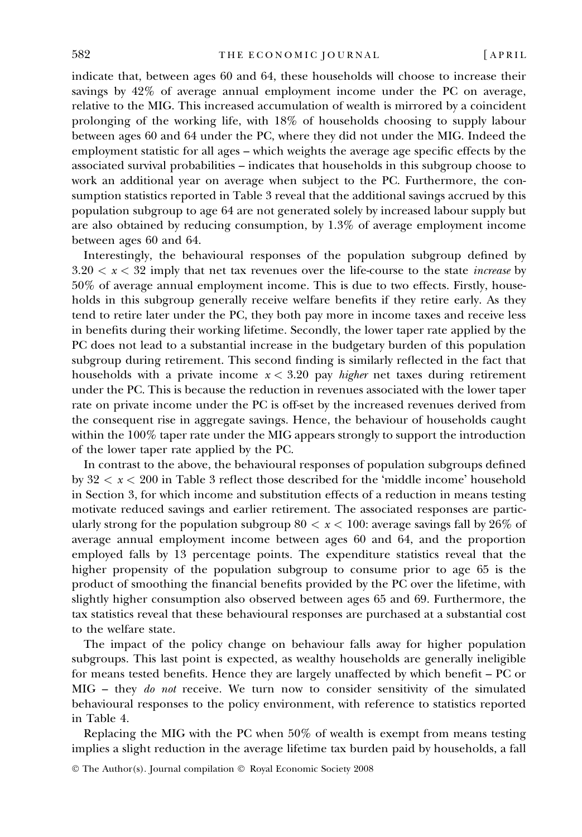indicate that, between ages 60 and 64, these households will choose to increase their savings by 42% of average annual employment income under the PC on average, relative to the MIG. This increased accumulation of wealth is mirrored by a coincident prolonging of the working life, with 18% of households choosing to supply labour between ages 60 and 64 under the PC, where they did not under the MIG. Indeed the employment statistic for all ages – which weights the average age specific effects by the associated survival probabilities – indicates that households in this subgroup choose to work an additional year on average when subject to the PC. Furthermore, the consumption statistics reported in Table 3 reveal that the additional savings accrued by this population subgroup to age 64 are not generated solely by increased labour supply but are also obtained by reducing consumption, by 1.3% of average employment income between ages 60 and 64.

Interestingly, the behavioural responses of the population subgroup defined by  $3.20 < x < 32$  imply that net tax revenues over the life-course to the state *increase* by 50% of average annual employment income. This is due to two effects. Firstly, households in this subgroup generally receive welfare benefits if they retire early. As they tend to retire later under the PC, they both pay more in income taxes and receive less in benefits during their working lifetime. Secondly, the lower taper rate applied by the PC does not lead to a substantial increase in the budgetary burden of this population subgroup during retirement. This second finding is similarly reflected in the fact that households with a private income  $x < 3.20$  pay *higher* net taxes during retirement under the PC. This is because the reduction in revenues associated with the lower taper rate on private income under the PC is off-set by the increased revenues derived from the consequent rise in aggregate savings. Hence, the behaviour of households caught within the 100% taper rate under the MIG appears strongly to support the introduction of the lower taper rate applied by the PC.

In contrast to the above, the behavioural responses of population subgroups defined by  $32 < x < 200$  in Table 3 reflect those described for the 'middle income' household in Section 3, for which income and substitution effects of a reduction in means testing motivate reduced savings and earlier retirement. The associated responses are particularly strong for the population subgroup  $80 < x < 100$ : average savings fall by 26% of average annual employment income between ages 60 and 64, and the proportion employed falls by 13 percentage points. The expenditure statistics reveal that the higher propensity of the population subgroup to consume prior to age 65 is the product of smoothing the financial benefits provided by the PC over the lifetime, with slightly higher consumption also observed between ages 65 and 69. Furthermore, the tax statistics reveal that these behavioural responses are purchased at a substantial cost to the welfare state.

The impact of the policy change on behaviour falls away for higher population subgroups. This last point is expected, as wealthy households are generally ineligible for means tested benefits. Hence they are largely unaffected by which benefit – PC or MIG – they do not receive. We turn now to consider sensitivity of the simulated behavioural responses to the policy environment, with reference to statistics reported in Table 4.

Replacing the MIG with the PC when 50% of wealth is exempt from means testing implies a slight reduction in the average lifetime tax burden paid by households, a fall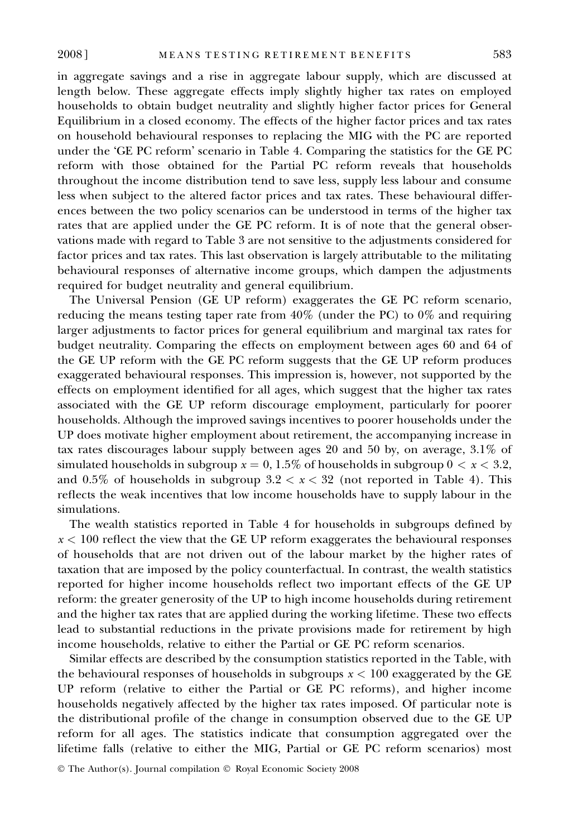in aggregate savings and a rise in aggregate labour supply, which are discussed at length below. These aggregate effects imply slightly higher tax rates on employed households to obtain budget neutrality and slightly higher factor prices for General Equilibrium in a closed economy. The effects of the higher factor prices and tax rates on household behavioural responses to replacing the MIG with the PC are reported under the 'GE PC reform' scenario in Table 4. Comparing the statistics for the GE PC reform with those obtained for the Partial PC reform reveals that households throughout the income distribution tend to save less, supply less labour and consume less when subject to the altered factor prices and tax rates. These behavioural differences between the two policy scenarios can be understood in terms of the higher tax rates that are applied under the GE PC reform. It is of note that the general observations made with regard to Table 3 are not sensitive to the adjustments considered for factor prices and tax rates. This last observation is largely attributable to the militating behavioural responses of alternative income groups, which dampen the adjustments required for budget neutrality and general equilibrium.

The Universal Pension (GE UP reform) exaggerates the GE PC reform scenario, reducing the means testing taper rate from  $40\%$  (under the PC) to 0% and requiring larger adjustments to factor prices for general equilibrium and marginal tax rates for budget neutrality. Comparing the effects on employment between ages 60 and 64 of the GE UP reform with the GE PC reform suggests that the GE UP reform produces exaggerated behavioural responses. This impression is, however, not supported by the effects on employment identified for all ages, which suggest that the higher tax rates associated with the GE UP reform discourage employment, particularly for poorer households. Although the improved savings incentives to poorer households under the UP does motivate higher employment about retirement, the accompanying increase in tax rates discourages labour supply between ages 20 and 50 by, on average, 3.1% of simulated households in subgroup  $x = 0, 1.5\%$  of households in subgroup  $0 < x < 3.2$ , and 0.5% of households in subgroup  $3.2 < x < 32$  (not reported in Table 4). This reflects the weak incentives that low income households have to supply labour in the simulations.

The wealth statistics reported in Table 4 for households in subgroups defined by  $x < 100$  reflect the view that the GE UP reform exaggerates the behavioural responses of households that are not driven out of the labour market by the higher rates of taxation that are imposed by the policy counterfactual. In contrast, the wealth statistics reported for higher income households reflect two important effects of the GE UP reform: the greater generosity of the UP to high income households during retirement and the higher tax rates that are applied during the working lifetime. These two effects lead to substantial reductions in the private provisions made for retirement by high income households, relative to either the Partial or GE PC reform scenarios.

Similar effects are described by the consumption statistics reported in the Table, with the behavioural responses of households in subgroups  $x < 100$  exaggerated by the GE UP reform (relative to either the Partial or GE PC reforms), and higher income households negatively affected by the higher tax rates imposed. Of particular note is the distributional profile of the change in consumption observed due to the GE UP reform for all ages. The statistics indicate that consumption aggregated over the lifetime falls (relative to either the MIG, Partial or GE PC reform scenarios) most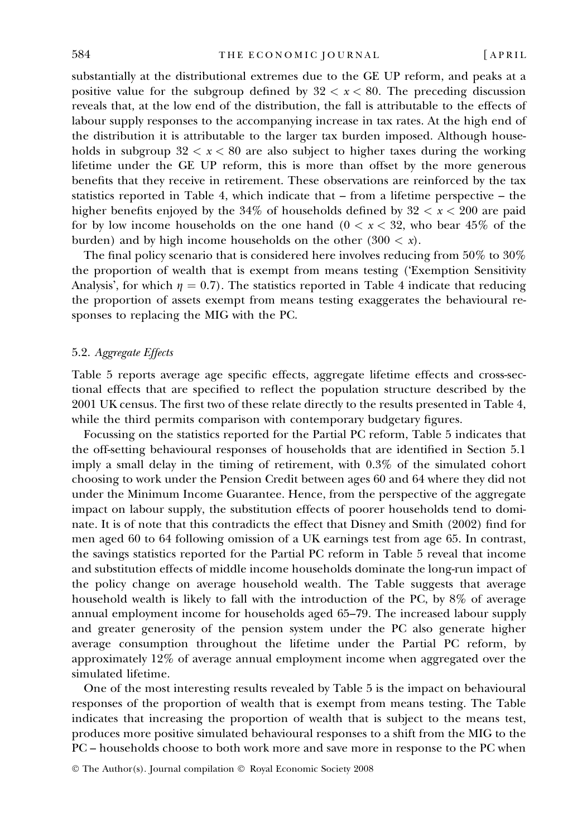substantially at the distributional extremes due to the GE UP reform, and peaks at a positive value for the subgroup defined by  $32 < x < 80$ . The preceding discussion reveals that, at the low end of the distribution, the fall is attributable to the effects of labour supply responses to the accompanying increase in tax rates. At the high end of the distribution it is attributable to the larger tax burden imposed. Although households in subgroup  $32 < x < 80$  are also subject to higher taxes during the working lifetime under the GE UP reform, this is more than offset by the more generous benefits that they receive in retirement. These observations are reinforced by the tax statistics reported in Table 4, which indicate that – from a lifetime perspective – the higher benefits enjoyed by the 34% of households defined by  $32 < x < 200$  are paid for by low income households on the one hand  $(0 < x < 32$ , who bear 45% of the burden) and by high income households on the other  $(300 < x)$ .

The final policy scenario that is considered here involves reducing from 50% to 30% the proportion of wealth that is exempt from means testing ('Exemption Sensitivity Analysis', for which  $\eta = 0.7$ ). The statistics reported in Table 4 indicate that reducing the proportion of assets exempt from means testing exaggerates the behavioural responses to replacing the MIG with the PC.

## 5.2. Aggregate Effects

Table 5 reports average age specific effects, aggregate lifetime effects and cross-sectional effects that are specified to reflect the population structure described by the 2001 UK census. The first two of these relate directly to the results presented in Table 4, while the third permits comparison with contemporary budgetary figures.

Focussing on the statistics reported for the Partial PC reform, Table 5 indicates that the off-setting behavioural responses of households that are identified in Section 5.1 imply a small delay in the timing of retirement, with 0.3% of the simulated cohort choosing to work under the Pension Credit between ages 60 and 64 where they did not under the Minimum Income Guarantee. Hence, from the perspective of the aggregate impact on labour supply, the substitution effects of poorer households tend to dominate. It is of note that this contradicts the effect that Disney and Smith (2002) find for men aged 60 to 64 following omission of a UK earnings test from age 65. In contrast, the savings statistics reported for the Partial PC reform in Table 5 reveal that income and substitution effects of middle income households dominate the long-run impact of the policy change on average household wealth. The Table suggests that average household wealth is likely to fall with the introduction of the PC, by 8% of average annual employment income for households aged 65–79. The increased labour supply and greater generosity of the pension system under the PC also generate higher average consumption throughout the lifetime under the Partial PC reform, by approximately 12% of average annual employment income when aggregated over the simulated lifetime.

One of the most interesting results revealed by Table 5 is the impact on behavioural responses of the proportion of wealth that is exempt from means testing. The Table indicates that increasing the proportion of wealth that is subject to the means test, produces more positive simulated behavioural responses to a shift from the MIG to the PC – households choose to both work more and save more in response to the PC when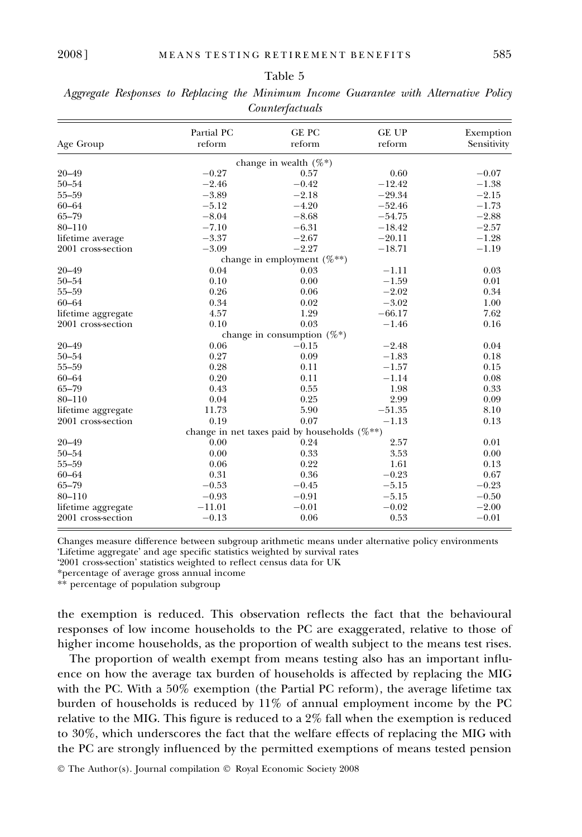|                    | Partial PC | <b>GE PC</b>                                       | <b>GE UP</b> | Exemption   |
|--------------------|------------|----------------------------------------------------|--------------|-------------|
| Age Group          | reform     | reform                                             | reform       | Sensitivity |
|                    |            | change in wealth $(\%^*)$                          |              |             |
| $20 - 49$          | $-0.27$    | 0.57                                               | 0.60         | $-0.07$     |
| $50 - 54$          | $-2.46$    | $-0.42$                                            | $-12.42$     | $-1.38$     |
| 55-59              | $-3.89$    | $-2.18$                                            | $-29.34$     | $-2.15$     |
| $60 - 64$          | $-5.12$    | $-4.20$                                            | $-52.46$     | $-1.73$     |
| 65-79              | $-8.04$    | $-8.68$                                            | $-54.75$     | $-2.88$     |
| $80 - 110$         | $-7.10$    | $-6.31$                                            | $-18.42$     | $-2.57$     |
| lifetime average   | $-3.37$    | $-2.67$                                            | $-20.11$     | $-1.28$     |
| 2001 cross-section | $-3.09$    | $-2.27$                                            | $-18.71$     | $-1.19$     |
|                    |            | change in employment $(\%^{**})$                   |              |             |
| $20 - 49$          | 0.04       | 0.03                                               | $-1.11$      | 0.03        |
| $50 - 54$          | 0.10       | 0.00                                               | $-1.59$      | 0.01        |
| 55-59              | 0.26       | 0.06                                               | $-2.02$      | 0.34        |
| $60 - 64$          | 0.34       | 0.02                                               | $-3.02$      | 1.00        |
| lifetime aggregate | 4.57       | 1.29                                               | $-66.17$     | 7.62        |
| 2001 cross-section | 0.10       | 0.03                                               | $-1.46$      | 0.16        |
|                    |            | change in consumption $(\%^*)$                     |              |             |
| $20 - 49$          | 0.06       | $-0.15$                                            | $-2.48$      | 0.04        |
| $50 - 54$          | 0.27       | 0.09                                               | $-1.83$      | 0.18        |
| 55-59              | 0.28       | 0.11                                               | $-1.57$      | 0.15        |
| $60 - 64$          | 0.20       | 0.11                                               | $-1.14$      | 0.08        |
| $65 - 79$          | 0.43       | 0.55                                               | 1.98         | 0.33        |
| 80-110             | 0.04       | 0.25                                               | 2.99         | 0.09        |
| lifetime aggregate | 11.73      | 5.90                                               | $-51.35$     | 8.10        |
| 2001 cross-section | 0.19       | 0.07                                               | $-1.13$      | 0.13        |
|                    |            | change in net taxes paid by households $(\%^{**})$ |              |             |
| $20 - 49$          | 0.00       | 0.24                                               | 2.57         | 0.01        |
| $50 - 54$          | 0.00       | 0.33                                               | 3.53         | 0.00        |
| 55-59              | 0.06       | 0.22                                               | 1.61         | 0.13        |
| $60 - 64$          | 0.31       | 0.36                                               | $-0.23$      | 0.67        |
| 65-79              | $-0.53$    | $-0.45$                                            | $-5.15$      | $-0.23$     |
| $80 - 110$         | $-0.93$    | $-0.91$                                            | $-5.15$      | $-0.50$     |
| lifetime aggregate | $-11.01$   | $-0.01$                                            | $-0.02$      | $-2.00$     |
| 2001 cross-section | $-0.13$    | 0.06                                               | 0.53         | $-0.01$     |

Aggregate Responses to Replacing the Minimum Income Guarantee with Alternative Policy Counterfactuals

Changes measure difference between subgroup arithmetic means under alternative policy environments 'Lifetime aggregate' and age specific statistics weighted by survival rates

'2001 cross-section' statistics weighted to reflect census data for UK

\*percentage of average gross annual income

\*\* percentage of population subgroup

the exemption is reduced. This observation reflects the fact that the behavioural responses of low income households to the PC are exaggerated, relative to those of higher income households, as the proportion of wealth subject to the means test rises.

The proportion of wealth exempt from means testing also has an important influence on how the average tax burden of households is affected by replacing the MIG with the PC. With a 50% exemption (the Partial PC reform), the average lifetime tax burden of households is reduced by 11% of annual employment income by the PC relative to the MIG. This figure is reduced to a 2% fall when the exemption is reduced to 30%, which underscores the fact that the welfare effects of replacing the MIG with the PC are strongly influenced by the permitted exemptions of means tested pension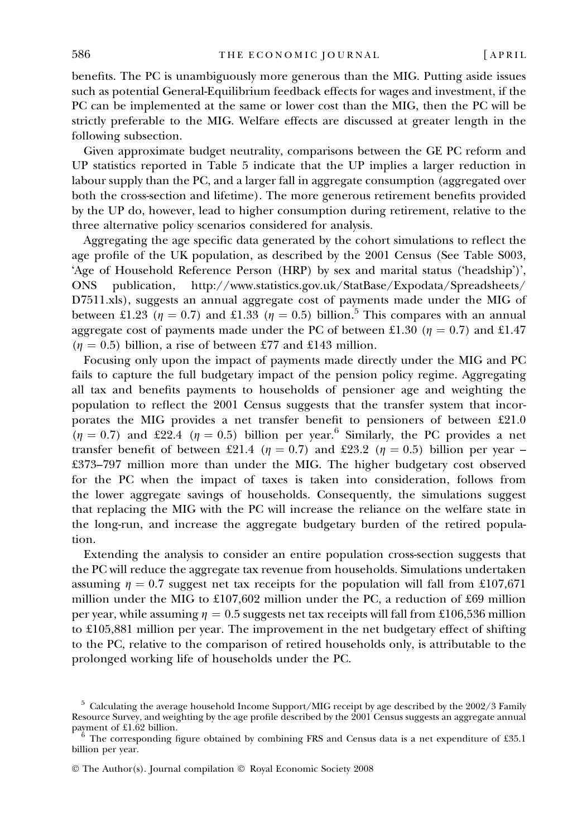benefits. The PC is unambiguously more generous than the MIG. Putting aside issues such as potential General-Equilibrium feedback effects for wages and investment, if the PC can be implemented at the same or lower cost than the MIG, then the PC will be strictly preferable to the MIG. Welfare effects are discussed at greater length in the following subsection.

Given approximate budget neutrality, comparisons between the GE PC reform and UP statistics reported in Table 5 indicate that the UP implies a larger reduction in labour supply than the PC, and a larger fall in aggregate consumption (aggregated over both the cross-section and lifetime). The more generous retirement benefits provided by the UP do, however, lead to higher consumption during retirement, relative to the three alternative policy scenarios considered for analysis.

Aggregating the age specific data generated by the cohort simulations to reflect the age profile of the UK population, as described by the 2001 Census (See Table S003, 'Age of Household Reference Person (HRP) by sex and marital status ('headship')', ONS publication, http://www.statistics.gov.uk/StatBase/Expodata/Spreadsheets/ D7511.xls), suggests an annual aggregate cost of payments made under the MIG of between £1.23 ( $\eta = 0.7$ ) and £1.33 ( $\eta = 0.5$ ) billion.<sup>5</sup> This compares with an annual aggregate cost of payments made under the PC of between £1.30 ( $\eta = 0.7$ ) and £1.47  $(\eta = 0.5)$  billion, a rise of between £77 and £143 million.

Focusing only upon the impact of payments made directly under the MIG and PC fails to capture the full budgetary impact of the pension policy regime. Aggregating all tax and benefits payments to households of pensioner age and weighting the population to reflect the 2001 Census suggests that the transfer system that incorporates the MIG provides a net transfer benefit to pensioners of between £21.0  $(\eta = 0.7)$  and £22.4 ( $\eta = 0.5$ ) billion per year.<sup>6</sup> Similarly, the PC provides a net transfer benefit of between £21.4 ( $\eta = 0.7$ ) and £23.2 ( $\eta = 0.5$ ) billion per year – £373–797 million more than under the MIG. The higher budgetary cost observed for the PC when the impact of taxes is taken into consideration, follows from the lower aggregate savings of households. Consequently, the simulations suggest that replacing the MIG with the PC will increase the reliance on the welfare state in the long-run, and increase the aggregate budgetary burden of the retired population.

Extending the analysis to consider an entire population cross-section suggests that the PC will reduce the aggregate tax revenue from households. Simulations undertaken assuming  $\eta = 0.7$  suggest net tax receipts for the population will fall from £107,671 million under the MIG to £107,602 million under the PC, a reduction of £69 million per year, while assuming  $\eta = 0.5$  suggests net tax receipts will fall from £106,536 million to £105,881 million per year. The improvement in the net budgetary effect of shifting to the PC, relative to the comparison of retired households only, is attributable to the prolonged working life of households under the PC.

<sup>5</sup> Calculating the average household Income Support/MIG receipt by age described by the 2002/3 Family Resource Survey, and weighting by the age profile described by the 2001 Census suggests an aggregate annual payment of £1.62 billion.

 $6$ . The corresponding figure obtained by combining FRS and Census data is a net expenditure of £35.1 billion per year.

<sup>©</sup> The Author(s). Journal compilation © Royal Economic Society 2008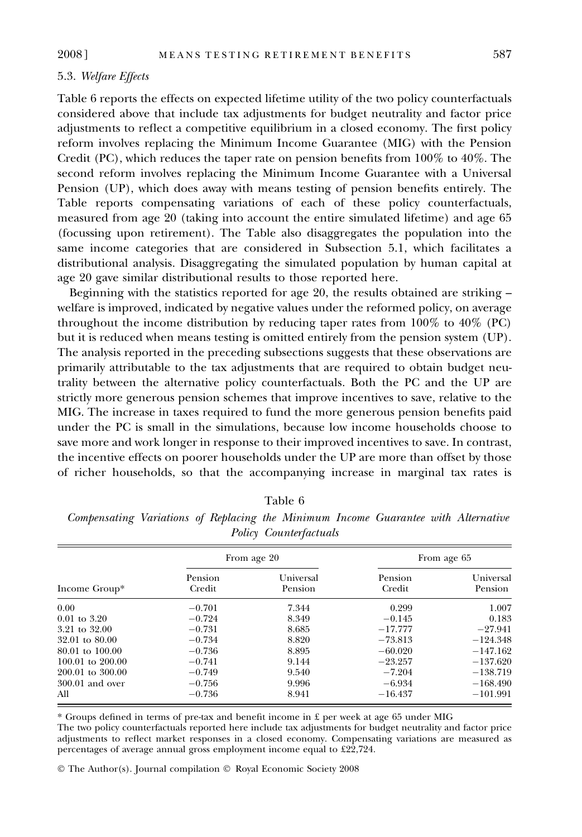## 5.3. Welfare Effects

Table 6 reports the effects on expected lifetime utility of the two policy counterfactuals considered above that include tax adjustments for budget neutrality and factor price adjustments to reflect a competitive equilibrium in a closed economy. The first policy reform involves replacing the Minimum Income Guarantee (MIG) with the Pension Credit (PC), which reduces the taper rate on pension benefits from 100% to 40%. The second reform involves replacing the Minimum Income Guarantee with a Universal Pension (UP), which does away with means testing of pension benefits entirely. The Table reports compensating variations of each of these policy counterfactuals, measured from age 20 (taking into account the entire simulated lifetime) and age 65 (focussing upon retirement). The Table also disaggregates the population into the same income categories that are considered in Subsection 5.1, which facilitates a distributional analysis. Disaggregating the simulated population by human capital at age 20 gave similar distributional results to those reported here.

Beginning with the statistics reported for age 20, the results obtained are striking – welfare is improved, indicated by negative values under the reformed policy, on average throughout the income distribution by reducing taper rates from 100% to 40% (PC) but it is reduced when means testing is omitted entirely from the pension system (UP). The analysis reported in the preceding subsections suggests that these observations are primarily attributable to the tax adjustments that are required to obtain budget neutrality between the alternative policy counterfactuals. Both the PC and the UP are strictly more generous pension schemes that improve incentives to save, relative to the MIG. The increase in taxes required to fund the more generous pension benefits paid under the PC is small in the simulations, because low income households choose to save more and work longer in response to their improved incentives to save. In contrast, the incentive effects on poorer households under the UP are more than offset by those of richer households, so that the accompanying increase in marginal tax rates is

|                    |                   | From age 20          | From age 65       |                      |  |
|--------------------|-------------------|----------------------|-------------------|----------------------|--|
| Income Group*      | Pension<br>Credit | Universal<br>Pension | Pension<br>Credit | Universal<br>Pension |  |
| 0.00               | $-0.701$          | 7.344                | 0.299             | 1.007                |  |
| $0.01$ to $3.20$   | $-0.724$          | 8.349                | $-0.145$          | 0.183                |  |
| 3.21 to 32.00      | $-0.731$          | 8.685                | $-17.777$         | $-27.941$            |  |
| 32.01 to 80.00     | $-0.734$          | 8.820                | $-73.813$         | $-124.348$           |  |
| 80.01 to 100.00    | $-0.736$          | 8.895                | $-60.020$         | $-147.162$           |  |
| 100.01 to $200.00$ | $-0.741$          | 9.144                | $-23.257$         | $-137.620$           |  |
| 200.01 to 300.00   | $-0.749$          | 9.540                | $-7.204$          | $-138.719$           |  |
| $300.01$ and over  | $-0.756$          | 9.996                | $-6.934$          | $-168.490$           |  |
| All                | $-0.736$          | 8.941                | $-16.437$         | $-101.991$           |  |

Table 6

| Compensating Variations of Replacing the Minimum Income Guarantee with Alternative |  |  |                        |  |  |
|------------------------------------------------------------------------------------|--|--|------------------------|--|--|
|                                                                                    |  |  | Policy Counterfactuals |  |  |

\* Groups defined in terms of pre-tax and benefit income in £ per week at age 65 under MIG

The two policy counterfactuals reported here include tax adjustments for budget neutrality and factor price adjustments to reflect market responses in a closed economy. Compensating variations are measured as percentages of average annual gross employment income equal to £22,724.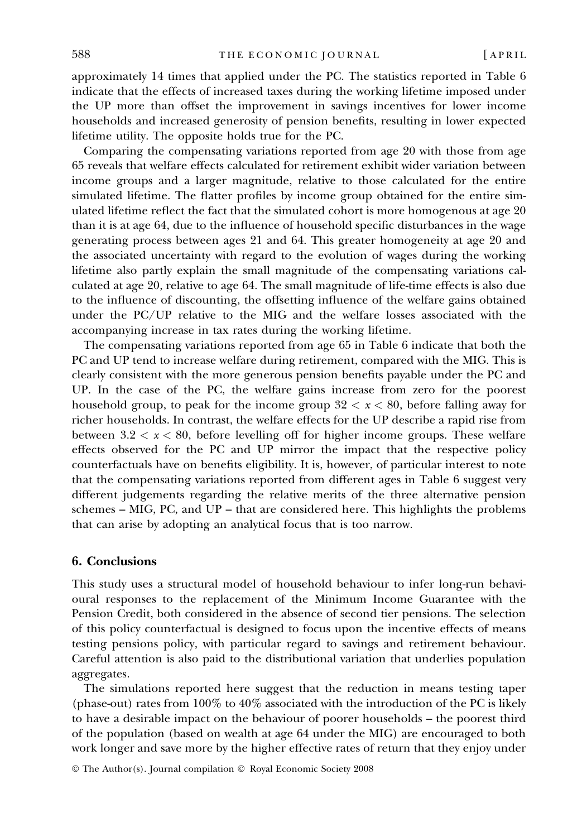approximately 14 times that applied under the PC. The statistics reported in Table 6 indicate that the effects of increased taxes during the working lifetime imposed under the UP more than offset the improvement in savings incentives for lower income households and increased generosity of pension benefits, resulting in lower expected lifetime utility. The opposite holds true for the PC.

Comparing the compensating variations reported from age 20 with those from age 65 reveals that welfare effects calculated for retirement exhibit wider variation between income groups and a larger magnitude, relative to those calculated for the entire simulated lifetime. The flatter profiles by income group obtained for the entire simulated lifetime reflect the fact that the simulated cohort is more homogenous at age 20 than it is at age 64, due to the influence of household specific disturbances in the wage generating process between ages 21 and 64. This greater homogeneity at age 20 and the associated uncertainty with regard to the evolution of wages during the working lifetime also partly explain the small magnitude of the compensating variations calculated at age 20, relative to age 64. The small magnitude of life-time effects is also due to the influence of discounting, the offsetting influence of the welfare gains obtained under the PC/UP relative to the MIG and the welfare losses associated with the accompanying increase in tax rates during the working lifetime.

The compensating variations reported from age 65 in Table 6 indicate that both the PC and UP tend to increase welfare during retirement, compared with the MIG. This is clearly consistent with the more generous pension benefits payable under the PC and UP. In the case of the PC, the welfare gains increase from zero for the poorest household group, to peak for the income group  $32 < x < 80$ , before falling away for richer households. In contrast, the welfare effects for the UP describe a rapid rise from between  $3.2 < x < 80$ , before levelling off for higher income groups. These welfare effects observed for the PC and UP mirror the impact that the respective policy counterfactuals have on benefits eligibility. It is, however, of particular interest to note that the compensating variations reported from different ages in Table 6 suggest very different judgements regarding the relative merits of the three alternative pension schemes – MIG, PC, and UP – that are considered here. This highlights the problems that can arise by adopting an analytical focus that is too narrow.

### 6. Conclusions

This study uses a structural model of household behaviour to infer long-run behavioural responses to the replacement of the Minimum Income Guarantee with the Pension Credit, both considered in the absence of second tier pensions. The selection of this policy counterfactual is designed to focus upon the incentive effects of means testing pensions policy, with particular regard to savings and retirement behaviour. Careful attention is also paid to the distributional variation that underlies population aggregates.

The simulations reported here suggest that the reduction in means testing taper (phase-out) rates from 100% to 40% associated with the introduction of the PC is likely to have a desirable impact on the behaviour of poorer households – the poorest third of the population (based on wealth at age 64 under the MIG) are encouraged to both work longer and save more by the higher effective rates of return that they enjoy under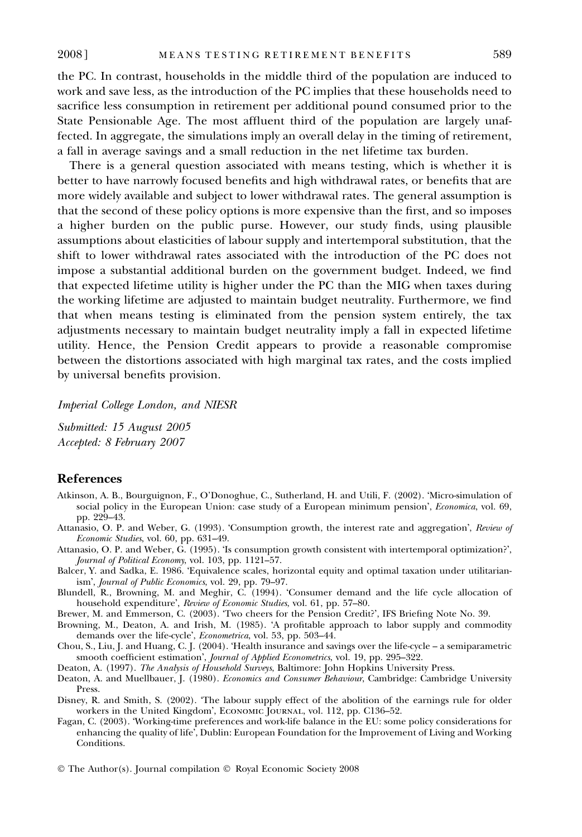the PC. In contrast, households in the middle third of the population are induced to work and save less, as the introduction of the PC implies that these households need to sacrifice less consumption in retirement per additional pound consumed prior to the State Pensionable Age. The most affluent third of the population are largely unaffected. In aggregate, the simulations imply an overall delay in the timing of retirement, a fall in average savings and a small reduction in the net lifetime tax burden.

There is a general question associated with means testing, which is whether it is better to have narrowly focused benefits and high withdrawal rates, or benefits that are more widely available and subject to lower withdrawal rates. The general assumption is that the second of these policy options is more expensive than the first, and so imposes a higher burden on the public purse. However, our study finds, using plausible assumptions about elasticities of labour supply and intertemporal substitution, that the shift to lower withdrawal rates associated with the introduction of the PC does not impose a substantial additional burden on the government budget. Indeed, we find that expected lifetime utility is higher under the PC than the MIG when taxes during the working lifetime are adjusted to maintain budget neutrality. Furthermore, we find that when means testing is eliminated from the pension system entirely, the tax adjustments necessary to maintain budget neutrality imply a fall in expected lifetime utility. Hence, the Pension Credit appears to provide a reasonable compromise between the distortions associated with high marginal tax rates, and the costs implied by universal benefits provision.

Imperial College London, and NIESR

Submitted: 15 August 2005 Accepted: 8 February 2007

# References

- Atkinson, A. B., Bourguignon, F., O'Donoghue, C., Sutherland, H. and Utili, F. (2002). 'Micro-simulation of social policy in the European Union: case study of a European minimum pension', *Economica*, vol. 69, pp. 229–43.
- Attanasio, O. P. and Weber, G. (1993). 'Consumption growth, the interest rate and aggregation', Review of Economic Studies, vol. 60, pp. 631–49.
- Attanasio, O. P. and Weber, G. (1995). 'Is consumption growth consistent with intertemporal optimization?', Journal of Political Economy, vol. 103, pp. 1121–57.
- Balcer, Y. and Sadka, E. 1986. 'Equivalence scales, horizontal equity and optimal taxation under utilitarianism', Journal of Public Economics, vol. 29, pp. 79-97.
- Blundell, R., Browning, M. and Meghir, C. (1994). 'Consumer demand and the life cycle allocation of household expenditure', Review of Economic Studies, vol. 61, pp. 57-80.
- Brewer, M. and Emmerson, C. (2003). 'Two cheers for the Pension Credit?', IFS Briefing Note No. 39.
- Browning, M., Deaton, A. and Irish, M. (1985). 'A profitable approach to labor supply and commodity demands over the life-cycle, Econometrica, vol. 53, pp. 503–44.
- Chou, S., Liu, J. and Huang, C. J. (2004). 'Health insurance and savings over the life-cycle a semiparametric smooth coefficient estimation', Journal of Applied Econometrics, vol. 19, pp. 295-322.

Deaton, A. (1997). The Analysis of Household Surveys, Baltimore: John Hopkins University Press.

- Deaton, A. and Muellbauer, J. (1980). Economics and Consumer Behaviour, Cambridge: Cambridge University Press.
- Disney, R. and Smith, S. (2002). 'The labour supply effect of the abolition of the earnings rule for older workers in the United Kingdom', ECONOMIC JOURNAL, vol. 112, pp. C136–52.
- Fagan, C. (2003). 'Working-time preferences and work-life balance in the EU: some policy considerations for enhancing the quality of life<sup>7</sup>, Dublin: European Foundation for the Improvement of Living and Working Conditions.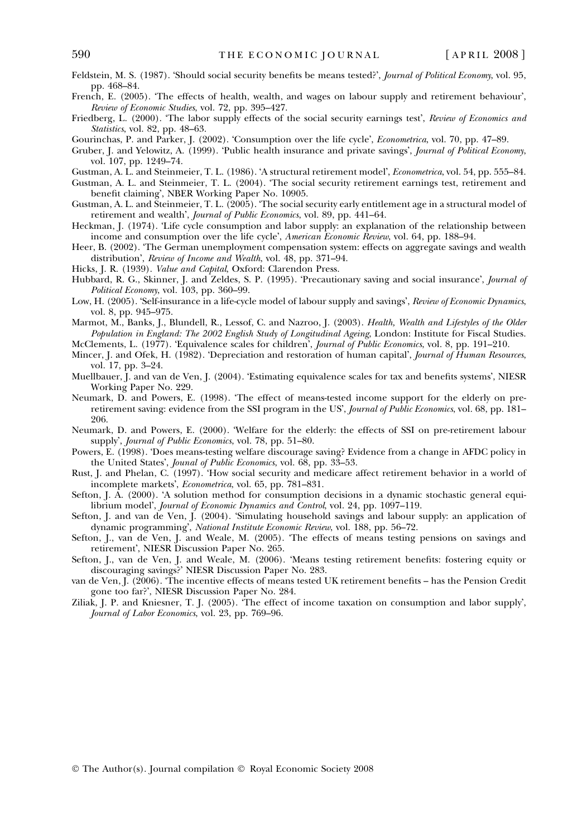- Feldstein, M. S. (1987). 'Should social security benefits be means tested?', *Journal of Political Econom*y, vol. 95, pp. 468–84.
- French, E. (2005). 'The effects of health, wealth, and wages on labour supply and retirement behaviour', Review of Economic Studies, vol. 72, pp. 395–427.
- Friedberg, L. (2000). 'The labor supply effects of the social security earnings test', Review of Economics and Statistics, vol. 82, pp. 48–63.
- Gourinchas, P. and Parker, J. (2002). 'Consumption over the life cycle', *Econometrica*, vol. 70, pp. 47–89.
- Gruber, J. and Yelowitz, A. (1999). 'Public health insurance and private savings', *Journal of Political Economy*, vol. 107, pp. 1249–74.
- Gustman, A. L. and Steinmeier, T. L. (1986). 'A structural retirement model', *Econometrica*, vol. 54, pp. 555–84.
- Gustman, A. L. and Steinmeier, T. L. (2004). 'The social security retirement earnings test, retirement and benefit claiming, NBER Working Paper No. 10905.
- Gustman, A. L. and Steinmeier, T. L. (2005). 'The social security early entitlement age in a structural model of retirement and wealth', Journal of Public Economics, vol. 89, pp. 441-64.
- Heckman, J. (1974). 'Life cycle consumption and labor supply: an explanation of the relationship between income and consumption over the life cycle', American Economic Review, vol. 64, pp. 188–94.
- Heer, B. (2002). 'The German unemployment compensation system: effects on aggregate savings and wealth distribution', Review of Income and Wealth, vol. 48, pp. 371-94.
- Hicks, J. R. (1939). Value and Capital, Oxford: Clarendon Press.
- Hubbard, R. G., Skinner, J. and Zeldes, S. P. (1995). 'Precautionary saving and social insurance'*, Journal of* Political Economy, vol. 103, pp. 360–99.
- Low, H. (2005). 'Self-insurance in a life-cycle model of labour supply and savings', *Review of Economic Dynamics*, vol. 8, pp. 945–975.
- Marmot, M., Banks, J., Blundell, R., Lessof, C. and Nazroo, J. (2003). Health, Wealth and Lifestyles of the Older Population in England: The 2002 English Study of Longitudinal Ageing, London: Institute for Fiscal Studies.
- McClements, L. (1977). 'Equivalence scales for children', *Journal of Public Economics*, vol. 8, pp. 191–210. Mincer, J. and Ofek, H. (1982). 'Depreciation and restoration of human capital', *Journal of Human Resources*,
- vol. 17, pp. 3–24.
- Muellbauer, J. and van de Ven, J. (2004). 'Estimating equivalence scales for tax and benefits systems', NIESR Working Paper No. 229.
- Neumark, D. and Powers, E. (1998). 'The effect of means-tested income support for the elderly on preretirement saving: evidence from the SSI program in the US', Journal of Public Economics, vol. 68, pp. 181– 206.
- Neumark, D. and Powers, E. (2000). 'Welfare for the elderly: the effects of SSI on pre-retirement labour supply, Journal of Public Economics, vol. 78, pp. 51–80.
- Powers, E. (1998). 'Does means-testing welfare discourage saving? Evidence from a change in AFDC policy in the United States', Jounal of Public Economics, vol. 68, pp. 33-53.
- Rust, J. and Phelan, C. (1997). 'How social security and medicare affect retirement behavior in a world of incomplete markets, Econometrica, vol. 65, pp. 781–831.
- Sefton, J. A. (2000). 'A solution method for consumption decisions in a dynamic stochastic general equilibrium model', Journal of Economic Dynamics and Control, vol. 24, pp. 1097–119.
- Sefton, J. and van de Ven, J. (2004). 'Simulating household savings and labour supply: an application of dynamic programming, National Institute Economic Review, vol. 188, pp. 56–72.
- Sefton, J., van de Ven, J. and Weale, M. (2005). 'The effects of means testing pensions on savings and retirement, NIESR Discussion Paper No. 265.
- Sefton, J., van de Ven, J. and Weale, M. (2006). 'Means testing retirement benefits: fostering equity or discouraging savings? NIESR Discussion Paper No. 283.
- van de Ven, J. (2006). 'The incentive effects of means tested UK retirement benefits has the Pension Credit gone too far?, NIESR Discussion Paper No. 284.
- Ziliak, J. P. and Kniesner, T. J. (2005). 'The effect of income taxation on consumption and labor supply', Journal of Labor Economics, vol. 23, pp. 769–96.